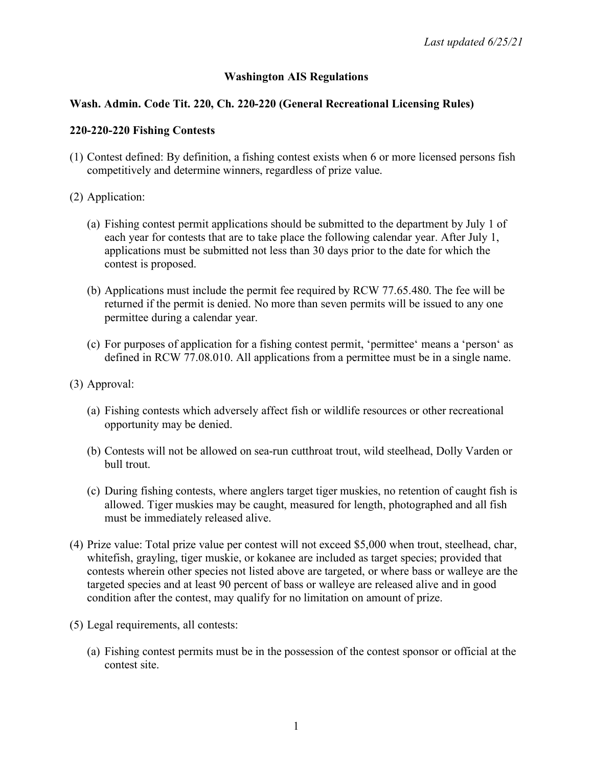## **Washington AIS Regulations**

### **Wash. Admin. Code Tit. 220, Ch. 220-220 (General Recreational Licensing Rules)**

#### **220-220-220 Fishing Contests**

- (1) Contest defined: By definition, a fishing contest exists when 6 or more licensed persons fish competitively and determine winners, regardless of prize value.
- (2) Application:
	- (a) Fishing contest permit applications should be submitted to the department by July 1 of each year for contests that are to take place the following calendar year. After July 1, applications must be submitted not less than 30 days prior to the date for which the contest is proposed.
	- (b) Applications must include the permit fee required by RCW 77.65.480. The fee will be returned if the permit is denied. No more than seven permits will be issued to any one permittee during a calendar year.
	- (c) For purposes of application for a fishing contest permit, 'permittee' means a 'person' as defined in RCW 77.08.010. All applications from a permittee must be in a single name.
- (3) Approval:
	- (a) Fishing contests which adversely affect fish or wildlife resources or other recreational opportunity may be denied.
	- (b) Contests will not be allowed on sea-run cutthroat trout, wild steelhead, Dolly Varden or bull trout.
	- (c) During fishing contests, where anglers target tiger muskies, no retention of caught fish is allowed. Tiger muskies may be caught, measured for length, photographed and all fish must be immediately released alive.
- (4) Prize value: Total prize value per contest will not exceed \$5,000 when trout, steelhead, char, whitefish, grayling, tiger muskie, or kokanee are included as target species; provided that contests wherein other species not listed above are targeted, or where bass or walleye are the targeted species and at least 90 percent of bass or walleye are released alive and in good condition after the contest, may qualify for no limitation on amount of prize.
- (5) Legal requirements, all contests:
	- (a) Fishing contest permits must be in the possession of the contest sponsor or official at the contest site.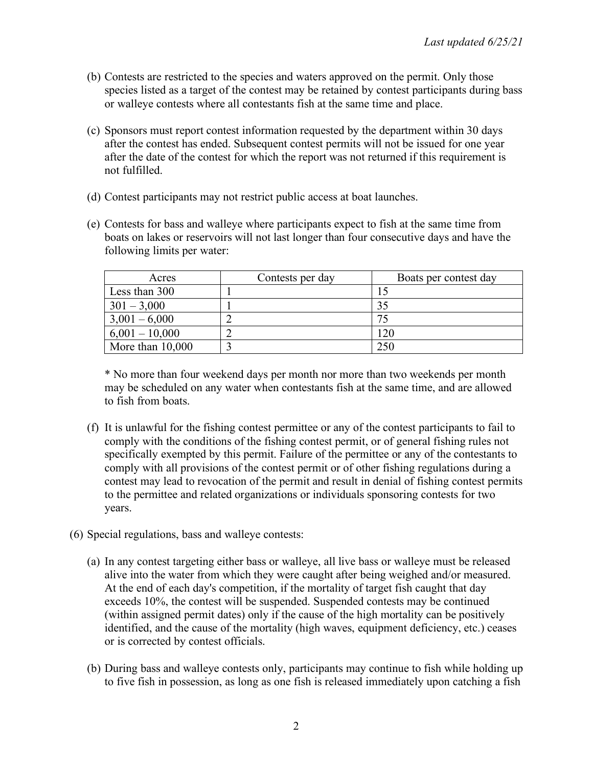- (b) Contests are restricted to the species and waters approved on the permit. Only those species listed as a target of the contest may be retained by contest participants during bass or walleye contests where all contestants fish at the same time and place.
- (c) Sponsors must report contest information requested by the department within 30 days after the contest has ended. Subsequent contest permits will not be issued for one year after the date of the contest for which the report was not returned if this requirement is not fulfilled.
- (d) Contest participants may not restrict public access at boat launches.
- (e) Contests for bass and walleye where participants expect to fish at the same time from boats on lakes or reservoirs will not last longer than four consecutive days and have the following limits per water:

| Acres              | Contests per day | Boats per contest day |
|--------------------|------------------|-----------------------|
| Less than 300      |                  |                       |
| $301 - 3,000$      |                  | 35                    |
| $3,001 - 6,000$    |                  |                       |
| $6,001 - 10,000$   |                  | 120                   |
| More than $10,000$ |                  | 250                   |

\* No more than four weekend days per month nor more than two weekends per month may be scheduled on any water when contestants fish at the same time, and are allowed to fish from boats.

- (f) It is unlawful for the fishing contest permittee or any of the contest participants to fail to comply with the conditions of the fishing contest permit, or of general fishing rules not specifically exempted by this permit. Failure of the permittee or any of the contestants to comply with all provisions of the contest permit or of other fishing regulations during a contest may lead to revocation of the permit and result in denial of fishing contest permits to the permittee and related organizations or individuals sponsoring contests for two years.
- (6) Special regulations, bass and walleye contests:
	- (a) In any contest targeting either bass or walleye, all live bass or walleye must be released alive into the water from which they were caught after being weighed and/or measured. At the end of each day's competition, if the mortality of target fish caught that day exceeds 10%, the contest will be suspended. Suspended contests may be continued (within assigned permit dates) only if the cause of the high mortality can be positively identified, and the cause of the mortality (high waves, equipment deficiency, etc.) ceases or is corrected by contest officials.
	- (b) During bass and walleye contests only, participants may continue to fish while holding up to five fish in possession, as long as one fish is released immediately upon catching a fish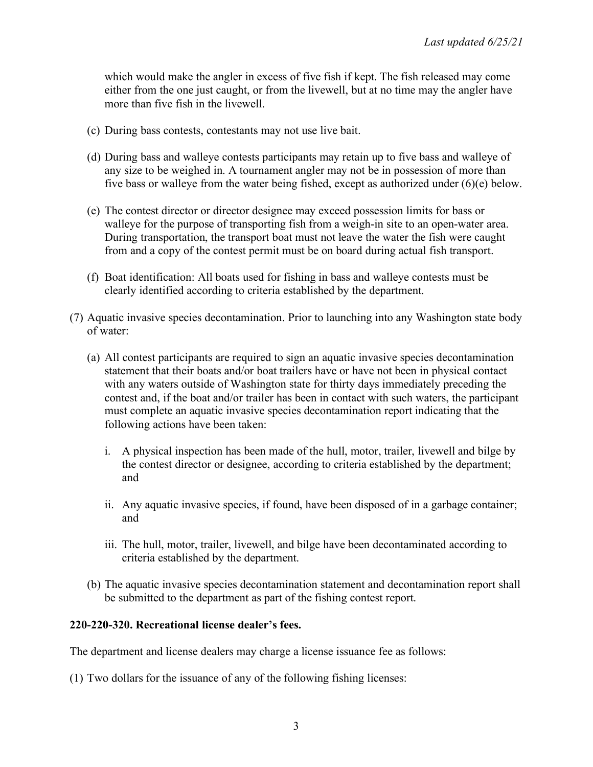which would make the angler in excess of five fish if kept. The fish released may come either from the one just caught, or from the livewell, but at no time may the angler have more than five fish in the livewell.

- (c) During bass contests, contestants may not use live bait.
- (d) During bass and walleye contests participants may retain up to five bass and walleye of any size to be weighed in. A tournament angler may not be in possession of more than five bass or walleye from the water being fished, except as authorized under (6)(e) below.
- (e) The contest director or director designee may exceed possession limits for bass or walleye for the purpose of transporting fish from a weigh-in site to an open-water area. During transportation, the transport boat must not leave the water the fish were caught from and a copy of the contest permit must be on board during actual fish transport.
- (f) Boat identification: All boats used for fishing in bass and walleye contests must be clearly identified according to criteria established by the department.
- (7) Aquatic invasive species decontamination. Prior to launching into any Washington state body of water:
	- (a) All contest participants are required to sign an aquatic invasive species decontamination statement that their boats and/or boat trailers have or have not been in physical contact with any waters outside of Washington state for thirty days immediately preceding the contest and, if the boat and/or trailer has been in contact with such waters, the participant must complete an aquatic invasive species decontamination report indicating that the following actions have been taken:
		- i. A physical inspection has been made of the hull, motor, trailer, livewell and bilge by the contest director or designee, according to criteria established by the department; and
		- ii. Any aquatic invasive species, if found, have been disposed of in a garbage container; and
		- iii. The hull, motor, trailer, livewell, and bilge have been decontaminated according to criteria established by the department.
	- (b) The aquatic invasive species decontamination statement and decontamination report shall be submitted to the department as part of the fishing contest report.

#### **220-220-320. Recreational license dealer's fees.**

The department and license dealers may charge a license issuance fee as follows:

(1) Two dollars for the issuance of any of the following fishing licenses: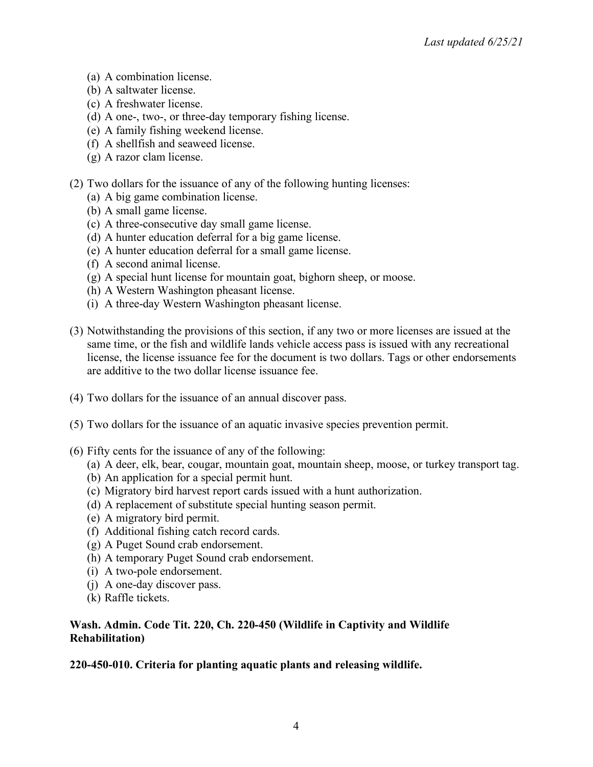- (a) A combination license.
- (b) A saltwater license.
- (c) A freshwater license.
- (d) A one-, two-, or three-day temporary fishing license.
- (e) A family fishing weekend license.
- (f) A shellfish and seaweed license.
- (g) A razor clam license.
- (2) Two dollars for the issuance of any of the following hunting licenses:
	- (a) A big game combination license.
	- (b) A small game license.
	- (c) A three-consecutive day small game license.
	- (d) A hunter education deferral for a big game license.
	- (e) A hunter education deferral for a small game license.
	- (f) A second animal license.
	- (g) A special hunt license for mountain goat, bighorn sheep, or moose.
	- (h) A Western Washington pheasant license.
	- (i) A three-day Western Washington pheasant license.
- (3) Notwithstanding the provisions of this section, if any two or more licenses are issued at the same time, or the fish and wildlife lands vehicle access pass is issued with any recreational license, the license issuance fee for the document is two dollars. Tags or other endorsements are additive to the two dollar license issuance fee.
- (4) Two dollars for the issuance of an annual discover pass.
- (5) Two dollars for the issuance of an aquatic invasive species prevention permit.
- (6) Fifty cents for the issuance of any of the following:
	- (a) A deer, elk, bear, cougar, mountain goat, mountain sheep, moose, or turkey transport tag.
	- (b) An application for a special permit hunt.
	- (c) Migratory bird harvest report cards issued with a hunt authorization.
	- (d) A replacement of substitute special hunting season permit.
	- (e) A migratory bird permit.
	- (f) Additional fishing catch record cards.
	- (g) A Puget Sound crab endorsement.
	- (h) A temporary Puget Sound crab endorsement.
	- (i) A two-pole endorsement.
	- (j) A one-day discover pass.
	- (k) Raffle tickets.

### **Wash. Admin. Code Tit. 220, Ch. 220-450 (Wildlife in Captivity and Wildlife Rehabilitation)**

### **220-450-010. Criteria for planting aquatic plants and releasing wildlife.**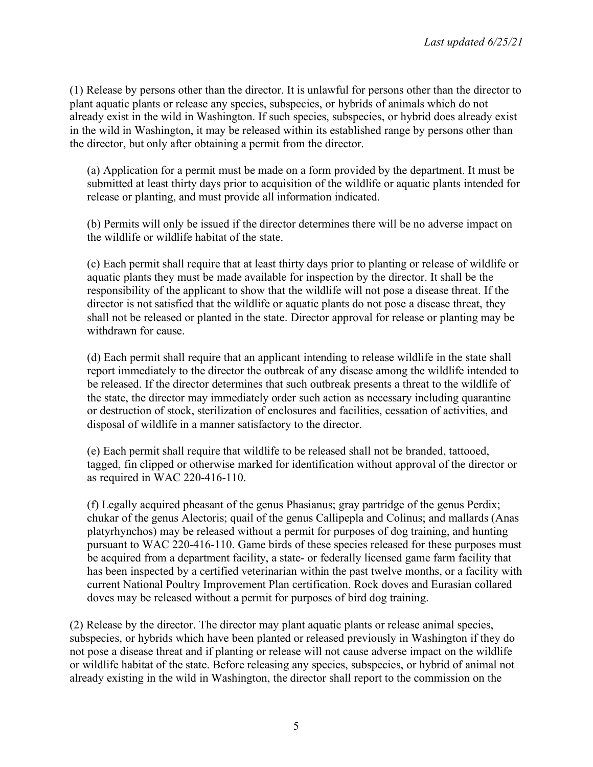(1) Release by persons other than the director. It is unlawful for persons other than the director to plant aquatic plants or release any species, subspecies, or hybrids of animals which do not already exist in the wild in Washington. If such species, subspecies, or hybrid does already exist in the wild in Washington, it may be released within its established range by persons other than the director, but only after obtaining a permit from the director.

(a) Application for a permit must be made on a form provided by the department. It must be submitted at least thirty days prior to acquisition of the wildlife or aquatic plants intended for release or planting, and must provide all information indicated.

(b) Permits will only be issued if the director determines there will be no adverse impact on the wildlife or wildlife habitat of the state.

(c) Each permit shall require that at least thirty days prior to planting or release of wildlife or aquatic plants they must be made available for inspection by the director. It shall be the responsibility of the applicant to show that the wildlife will not pose a disease threat. If the director is not satisfied that the wildlife or aquatic plants do not pose a disease threat, they shall not be released or planted in the state. Director approval for release or planting may be withdrawn for cause.

(d) Each permit shall require that an applicant intending to release wildlife in the state shall report immediately to the director the outbreak of any disease among the wildlife intended to be released. If the director determines that such outbreak presents a threat to the wildlife of the state, the director may immediately order such action as necessary including quarantine or destruction of stock, sterilization of enclosures and facilities, cessation of activities, and disposal of wildlife in a manner satisfactory to the director.

(e) Each permit shall require that wildlife to be released shall not be branded, tattooed, tagged, fin clipped or otherwise marked for identification without approval of the director or as required in WAC 220-416-110.

(f) Legally acquired pheasant of the genus Phasianus; gray partridge of the genus Perdix; chukar of the genus Alectoris; quail of the genus Callipepla and Colinus; and mallards (Anas platyrhynchos) may be released without a permit for purposes of dog training, and hunting pursuant to WAC 220-416-110. Game birds of these species released for these purposes must be acquired from a department facility, a state- or federally licensed game farm facility that has been inspected by a certified veterinarian within the past twelve months, or a facility with current National Poultry Improvement Plan certification. Rock doves and Eurasian collared doves may be released without a permit for purposes of bird dog training.

(2) Release by the director. The director may plant aquatic plants or release animal species, subspecies, or hybrids which have been planted or released previously in Washington if they do not pose a disease threat and if planting or release will not cause adverse impact on the wildlife or wildlife habitat of the state. Before releasing any species, subspecies, or hybrid of animal not already existing in the wild in Washington, the director shall report to the commission on the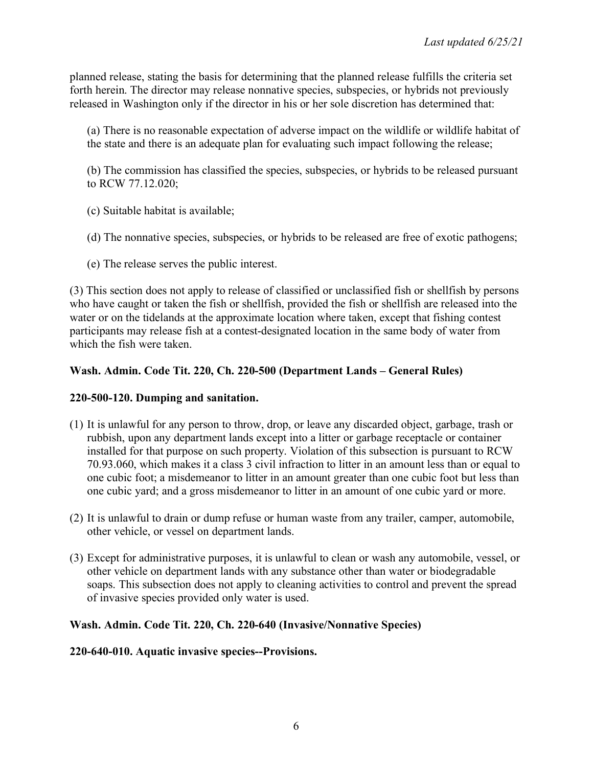planned release, stating the basis for determining that the planned release fulfills the criteria set forth herein. The director may release nonnative species, subspecies, or hybrids not previously released in Washington only if the director in his or her sole discretion has determined that:

(a) There is no reasonable expectation of adverse impact on the wildlife or wildlife habitat of the state and there is an adequate plan for evaluating such impact following the release;

(b) The commission has classified the species, subspecies, or hybrids to be released pursuant to RCW 77.12.020;

- (c) Suitable habitat is available;
- (d) The nonnative species, subspecies, or hybrids to be released are free of exotic pathogens;
- (e) The release serves the public interest.

(3) This section does not apply to release of classified or unclassified fish or shellfish by persons who have caught or taken the fish or shellfish, provided the fish or shellfish are released into the water or on the tidelands at the approximate location where taken, except that fishing contest participants may release fish at a contest-designated location in the same body of water from which the fish were taken.

## **Wash. Admin. Code Tit. 220, Ch. 220-500 (Department Lands – General Rules)**

### **220-500-120. Dumping and sanitation.**

- (1) It is unlawful for any person to throw, drop, or leave any discarded object, garbage, trash or rubbish, upon any department lands except into a litter or garbage receptacle or container installed for that purpose on such property. Violation of this subsection is pursuant to RCW 70.93.060, which makes it a class 3 civil infraction to litter in an amount less than or equal to one cubic foot; a misdemeanor to litter in an amount greater than one cubic foot but less than one cubic yard; and a gross misdemeanor to litter in an amount of one cubic yard or more.
- (2) It is unlawful to drain or dump refuse or human waste from any trailer, camper, automobile, other vehicle, or vessel on department lands.
- (3) Except for administrative purposes, it is unlawful to clean or wash any automobile, vessel, or other vehicle on department lands with any substance other than water or biodegradable soaps. This subsection does not apply to cleaning activities to control and prevent the spread of invasive species provided only water is used.

### **Wash. Admin. Code Tit. 220, Ch. 220-640 (Invasive/Nonnative Species)**

### **220-640-010. Aquatic invasive species--Provisions.**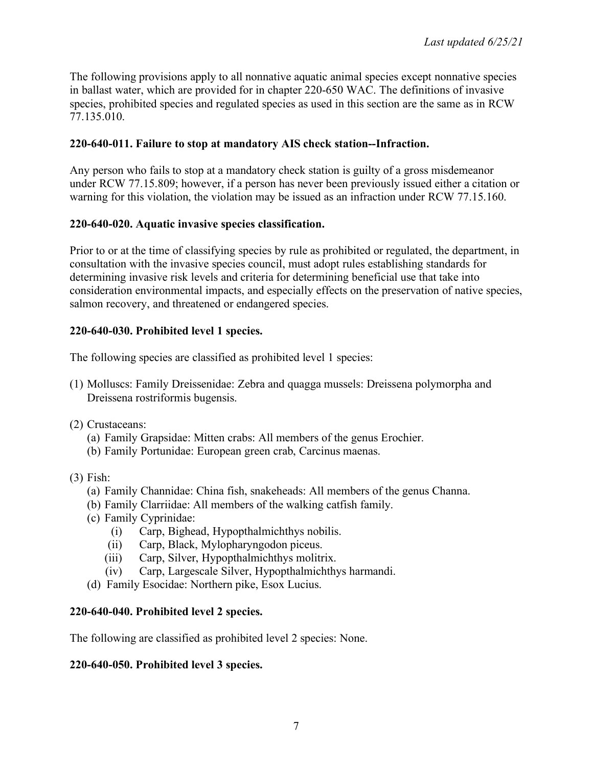The following provisions apply to all nonnative aquatic animal species except nonnative species in ballast water, which are provided for in chapter 220-650 WAC. The definitions of invasive species, prohibited species and regulated species as used in this section are the same as in RCW 77.135.010.

## **220-640-011. Failure to stop at mandatory AIS check station--Infraction.**

Any person who fails to stop at a mandatory check station is guilty of a gross misdemeanor under RCW 77.15.809; however, if a person has never been previously issued either a citation or warning for this violation, the violation may be issued as an infraction under RCW 77.15.160.

## **220-640-020. Aquatic invasive species classification.**

Prior to or at the time of classifying species by rule as prohibited or regulated, the department, in consultation with the invasive species council, must adopt rules establishing standards for determining invasive risk levels and criteria for determining beneficial use that take into consideration environmental impacts, and especially effects on the preservation of native species, salmon recovery, and threatened or endangered species.

## **220-640-030. Prohibited level 1 species.**

The following species are classified as prohibited level 1 species:

- (1) Molluscs: Family Dreissenidae: Zebra and quagga mussels: Dreissena polymorpha and Dreissena rostriformis bugensis.
- (2) Crustaceans:
	- (a) Family Grapsidae: Mitten crabs: All members of the genus Erochier.
	- (b) Family Portunidae: European green crab, Carcinus maenas.
- (3) Fish:
	- (a) Family Channidae: China fish, snakeheads: All members of the genus Channa.
	- (b) Family Clarriidae: All members of the walking catfish family.
	- (c) Family Cyprinidae:
		- (i) Carp, Bighead, Hypopthalmichthys nobilis.
		- (ii) Carp, Black, Mylopharyngodon piceus.
		- (iii) Carp, Silver, Hypopthalmichthys molitrix.
		- (iv) Carp, Largescale Silver, Hypopthalmichthys harmandi.
	- (d) Family Esocidae: Northern pike, Esox Lucius.

### **220-640-040. Prohibited level 2 species.**

The following are classified as prohibited level 2 species: None.

### **220-640-050. Prohibited level 3 species.**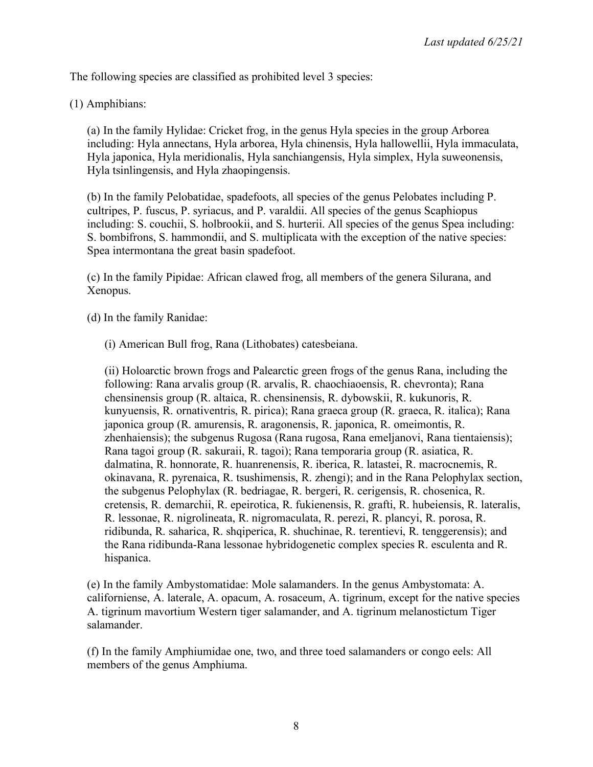The following species are classified as prohibited level 3 species:

(1) Amphibians:

(a) In the family Hylidae: Cricket frog, in the genus Hyla species in the group Arborea including: Hyla annectans, Hyla arborea, Hyla chinensis, Hyla hallowellii, Hyla immaculata, Hyla japonica, Hyla meridionalis, Hyla sanchiangensis, Hyla simplex, Hyla suweonensis, Hyla tsinlingensis, and Hyla zhaopingensis.

(b) In the family Pelobatidae, spadefoots, all species of the genus Pelobates including P. cultripes, P. fuscus, P. syriacus, and P. varaldii. All species of the genus Scaphiopus including: S. couchii, S. holbrookii, and S. hurterii. All species of the genus Spea including: S. bombifrons, S. hammondii, and S. multiplicata with the exception of the native species: Spea intermontana the great basin spadefoot.

(c) In the family Pipidae: African clawed frog, all members of the genera Silurana, and Xenopus.

(d) In the family Ranidae:

(i) American Bull frog, Rana (Lithobates) catesbeiana.

(ii) Holoarctic brown frogs and Palearctic green frogs of the genus Rana, including the following: Rana arvalis group (R. arvalis, R. chaochiaoensis, R. chevronta); Rana chensinensis group (R. altaica, R. chensinensis, R. dybowskii, R. kukunoris, R. kunyuensis, R. ornativentris, R. pirica); Rana graeca group (R. graeca, R. italica); Rana japonica group (R. amurensis, R. aragonensis, R. japonica, R. omeimontis, R. zhenhaiensis); the subgenus Rugosa (Rana rugosa, Rana emeljanovi, Rana tientaiensis); Rana tagoi group (R. sakuraii, R. tagoi); Rana temporaria group (R. asiatica, R. dalmatina, R. honnorate, R. huanrenensis, R. iberica, R. latastei, R. macrocnemis, R. okinavana, R. pyrenaica, R. tsushimensis, R. zhengi); and in the Rana Pelophylax section, the subgenus Pelophylax (R. bedriagae, R. bergeri, R. cerigensis, R. chosenica, R. cretensis, R. demarchii, R. epeirotica, R. fukienensis, R. grafti, R. hubeiensis, R. lateralis, R. lessonae, R. nigrolineata, R. nigromaculata, R. perezi, R. plancyi, R. porosa, R. ridibunda, R. saharica, R. shqiperica, R. shuchinae, R. terentievi, R. tenggerensis); and the Rana ridibunda-Rana lessonae hybridogenetic complex species R. esculenta and R. hispanica.

(e) In the family Ambystomatidae: Mole salamanders. In the genus Ambystomata: A. californiense, A. laterale, A. opacum, A. rosaceum, A. tigrinum, except for the native species A. tigrinum mavortium Western tiger salamander, and A. tigrinum melanostictum Tiger salamander.

(f) In the family Amphiumidae one, two, and three toed salamanders or congo eels: All members of the genus Amphiuma.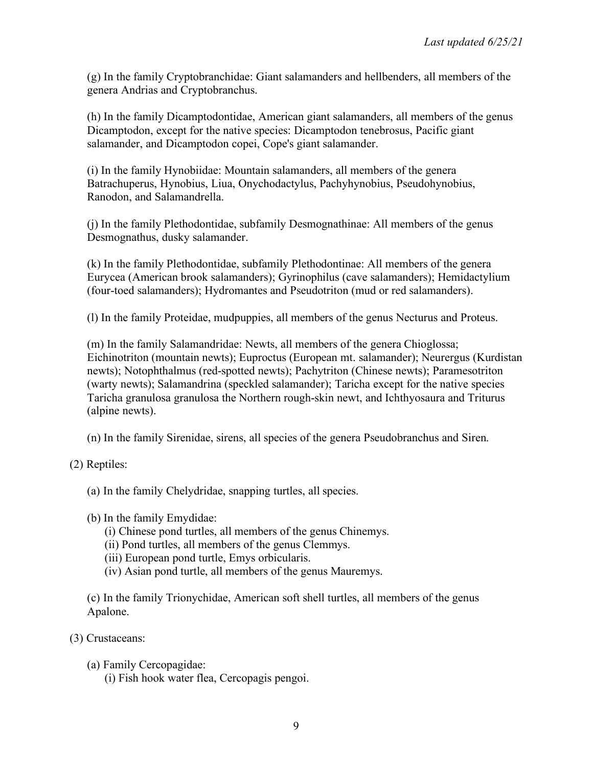(g) In the family Cryptobranchidae: Giant salamanders and hellbenders, all members of the genera Andrias and Cryptobranchus.

(h) In the family Dicamptodontidae, American giant salamanders, all members of the genus Dicamptodon, except for the native species: Dicamptodon tenebrosus, Pacific giant salamander, and Dicamptodon copei, Cope's giant salamander.

(i) In the family Hynobiidae: Mountain salamanders, all members of the genera Batrachuperus, Hynobius, Liua, Onychodactylus, Pachyhynobius, Pseudohynobius, Ranodon, and Salamandrella.

(j) In the family Plethodontidae, subfamily Desmognathinae: All members of the genus Desmognathus, dusky salamander.

(k) In the family Plethodontidae, subfamily Plethodontinae: All members of the genera Eurycea (American brook salamanders); Gyrinophilus (cave salamanders); Hemidactylium (four-toed salamanders); Hydromantes and Pseudotriton (mud or red salamanders).

(l) In the family Proteidae, mudpuppies, all members of the genus Necturus and Proteus.

(m) In the family Salamandridae: Newts, all members of the genera Chioglossa; Eichinotriton (mountain newts); Euproctus (European mt. salamander); Neurergus (Kurdistan newts); Notophthalmus (red-spotted newts); Pachytriton (Chinese newts); Paramesotriton (warty newts); Salamandrina (speckled salamander); Taricha except for the native species Taricha granulosa granulosa the Northern rough-skin newt, and Ichthyosaura and Triturus (alpine newts).

(n) In the family Sirenidae, sirens, all species of the genera Pseudobranchus and Siren.

- (2) Reptiles:
	- (a) In the family Chelydridae, snapping turtles, all species.
	- (b) In the family Emydidae:
		- (i) Chinese pond turtles, all members of the genus Chinemys.
		- (ii) Pond turtles, all members of the genus Clemmys.
		- (iii) European pond turtle, Emys orbicularis.
		- (iv) Asian pond turtle, all members of the genus Mauremys.

(c) In the family Trionychidae, American soft shell turtles, all members of the genus Apalone.

- (3) Crustaceans:
	- (a) Family Cercopagidae:

(i) Fish hook water flea, Cercopagis pengoi.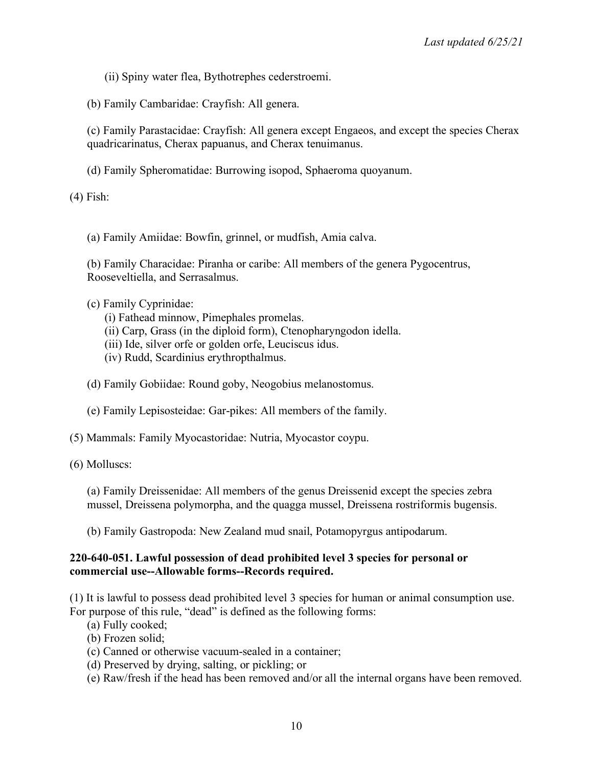(ii) Spiny water flea, Bythotrephes cederstroemi.

(b) Family Cambaridae: Crayfish: All genera.

(c) Family Parastacidae: Crayfish: All genera except Engaeos, and except the species Cherax quadricarinatus, Cherax papuanus, and Cherax tenuimanus.

(d) Family Spheromatidae: Burrowing isopod, Sphaeroma quoyanum.

(4) Fish:

(a) Family Amiidae: Bowfin, grinnel, or mudfish, Amia calva.

(b) Family Characidae: Piranha or caribe: All members of the genera Pygocentrus, Rooseveltiella, and Serrasalmus.

(c) Family Cyprinidae:

(i) Fathead minnow, Pimephales promelas.

- (ii) Carp, Grass (in the diploid form), Ctenopharyngodon idella.
- (iii) Ide, silver orfe or golden orfe, Leuciscus idus.
- (iv) Rudd, Scardinius erythropthalmus.

(d) Family Gobiidae: Round goby, Neogobius melanostomus.

- (e) Family Lepisosteidae: Gar-pikes: All members of the family.
- (5) Mammals: Family Myocastoridae: Nutria, Myocastor coypu.

(6) Molluscs:

(a) Family Dreissenidae: All members of the genus Dreissenid except the species zebra mussel, Dreissena polymorpha, and the quagga mussel, Dreissena rostriformis bugensis.

(b) Family Gastropoda: New Zealand mud snail, Potamopyrgus antipodarum.

#### **220-640-051. Lawful possession of dead prohibited level 3 species for personal or commercial use--Allowable forms--Records required.**

(1) It is lawful to possess dead prohibited level 3 species for human or animal consumption use. For purpose of this rule, "dead" is defined as the following forms:

(a) Fully cooked;

- (b) Frozen solid;
- (c) Canned or otherwise vacuum-sealed in a container;
- (d) Preserved by drying, salting, or pickling; or
- (e) Raw/fresh if the head has been removed and/or all the internal organs have been removed.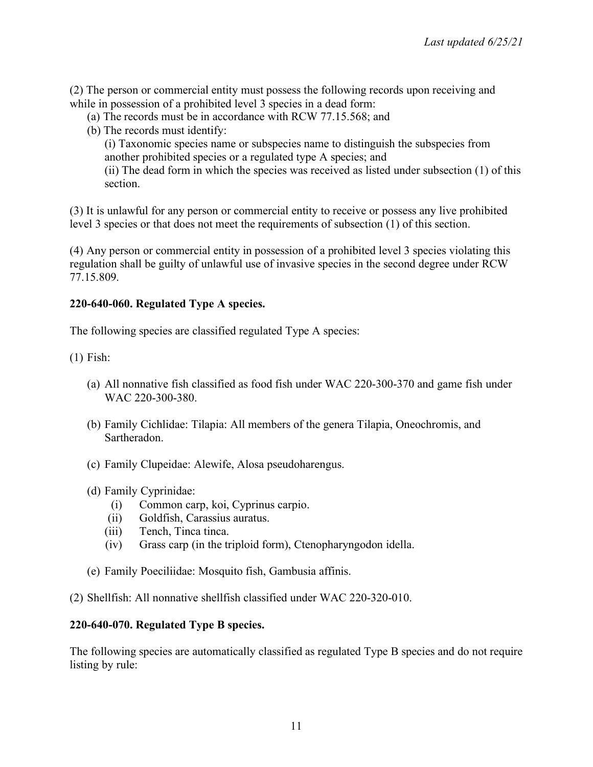(2) The person or commercial entity must possess the following records upon receiving and while in possession of a prohibited level 3 species in a dead form:

- (a) The records must be in accordance with RCW 77.15.568; and
- (b) The records must identify:

(i) Taxonomic species name or subspecies name to distinguish the subspecies from another prohibited species or a regulated type A species; and

(ii) The dead form in which the species was received as listed under subsection (1) of this section.

(3) It is unlawful for any person or commercial entity to receive or possess any live prohibited level 3 species or that does not meet the requirements of subsection (1) of this section.

(4) Any person or commercial entity in possession of a prohibited level 3 species violating this regulation shall be guilty of unlawful use of invasive species in the second degree under RCW 77.15.809.

### **220-640-060. Regulated Type A species.**

The following species are classified regulated Type A species:

(1) Fish:

- (a) All nonnative fish classified as food fish under WAC 220-300-370 and game fish under WAC 220-300-380.
- (b) Family Cichlidae: Tilapia: All members of the genera Tilapia, Oneochromis, and Sartheradon.
- (c) Family Clupeidae: Alewife, Alosa pseudoharengus.
- (d) Family Cyprinidae:
	- (i) Common carp, koi, Cyprinus carpio.
	- (ii) Goldfish, Carassius auratus.
	- (iii) Tench, Tinca tinca.
	- (iv) Grass carp (in the triploid form), Ctenopharyngodon idella.
- (e) Family Poeciliidae: Mosquito fish, Gambusia affinis.

(2) Shellfish: All nonnative shellfish classified under WAC 220-320-010.

### **220-640-070. Regulated Type B species.**

The following species are automatically classified as regulated Type B species and do not require listing by rule: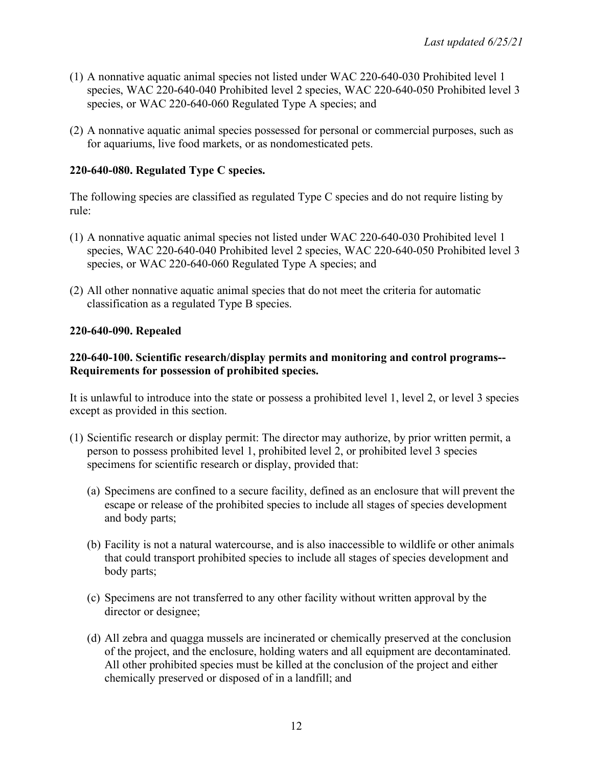- (1) A nonnative aquatic animal species not listed under WAC 220-640-030 Prohibited level 1 species, WAC 220-640-040 Prohibited level 2 species, WAC 220-640-050 Prohibited level 3 species, or WAC 220-640-060 Regulated Type A species; and
- (2) A nonnative aquatic animal species possessed for personal or commercial purposes, such as for aquariums, live food markets, or as nondomesticated pets.

## **220-640-080. Regulated Type C species.**

The following species are classified as regulated Type C species and do not require listing by rule:

- (1) A nonnative aquatic animal species not listed under WAC 220-640-030 Prohibited level 1 species, WAC 220-640-040 Prohibited level 2 species, WAC 220-640-050 Prohibited level 3 species, or WAC 220-640-060 Regulated Type A species; and
- (2) All other nonnative aquatic animal species that do not meet the criteria for automatic classification as a regulated Type B species.

### **220-640-090. Repealed**

## **220-640-100. Scientific research/display permits and monitoring and control programs-- Requirements for possession of prohibited species.**

It is unlawful to introduce into the state or possess a prohibited level 1, level 2, or level 3 species except as provided in this section.

- (1) Scientific research or display permit: The director may authorize, by prior written permit, a person to possess prohibited level 1, prohibited level 2, or prohibited level 3 species specimens for scientific research or display, provided that:
	- (a) Specimens are confined to a secure facility, defined as an enclosure that will prevent the escape or release of the prohibited species to include all stages of species development and body parts;
	- (b) Facility is not a natural watercourse, and is also inaccessible to wildlife or other animals that could transport prohibited species to include all stages of species development and body parts;
	- (c) Specimens are not transferred to any other facility without written approval by the director or designee;
	- (d) All zebra and quagga mussels are incinerated or chemically preserved at the conclusion of the project, and the enclosure, holding waters and all equipment are decontaminated. All other prohibited species must be killed at the conclusion of the project and either chemically preserved or disposed of in a landfill; and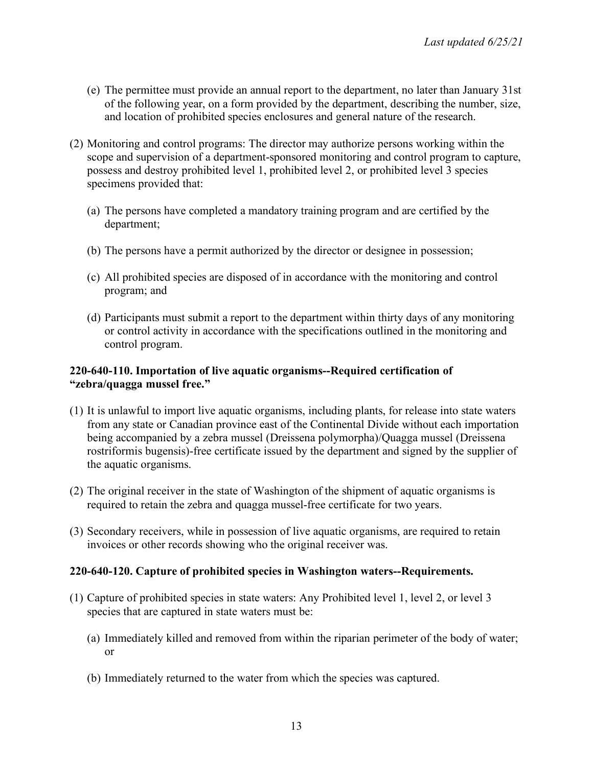- (e) The permittee must provide an annual report to the department, no later than January 31st of the following year, on a form provided by the department, describing the number, size, and location of prohibited species enclosures and general nature of the research.
- (2) Monitoring and control programs: The director may authorize persons working within the scope and supervision of a department-sponsored monitoring and control program to capture, possess and destroy prohibited level 1, prohibited level 2, or prohibited level 3 species specimens provided that:
	- (a) The persons have completed a mandatory training program and are certified by the department;
	- (b) The persons have a permit authorized by the director or designee in possession;
	- (c) All prohibited species are disposed of in accordance with the monitoring and control program; and
	- (d) Participants must submit a report to the department within thirty days of any monitoring or control activity in accordance with the specifications outlined in the monitoring and control program.

#### **220-640-110. Importation of live aquatic organisms--Required certification of "zebra/quagga mussel free."**

- (1) It is unlawful to import live aquatic organisms, including plants, for release into state waters from any state or Canadian province east of the Continental Divide without each importation being accompanied by a zebra mussel (Dreissena polymorpha)/Quagga mussel (Dreissena rostriformis bugensis)-free certificate issued by the department and signed by the supplier of the aquatic organisms.
- (2) The original receiver in the state of Washington of the shipment of aquatic organisms is required to retain the zebra and quagga mussel-free certificate for two years.
- (3) Secondary receivers, while in possession of live aquatic organisms, are required to retain invoices or other records showing who the original receiver was.

### **220-640-120. Capture of prohibited species in Washington waters--Requirements.**

- (1) Capture of prohibited species in state waters: Any Prohibited level 1, level 2, or level 3 species that are captured in state waters must be:
	- (a) Immediately killed and removed from within the riparian perimeter of the body of water; or
	- (b) Immediately returned to the water from which the species was captured.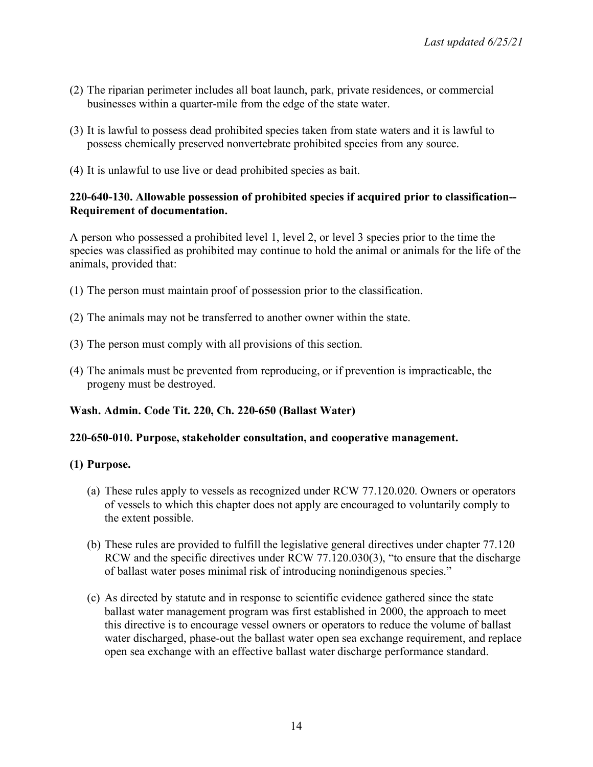- (2) The riparian perimeter includes all boat launch, park, private residences, or commercial businesses within a quarter-mile from the edge of the state water.
- (3) It is lawful to possess dead prohibited species taken from state waters and it is lawful to possess chemically preserved nonvertebrate prohibited species from any source.
- (4) It is unlawful to use live or dead prohibited species as bait.

### **220-640-130. Allowable possession of prohibited species if acquired prior to classification-- Requirement of documentation.**

A person who possessed a prohibited level 1, level 2, or level 3 species prior to the time the species was classified as prohibited may continue to hold the animal or animals for the life of the animals, provided that:

- (1) The person must maintain proof of possession prior to the classification.
- (2) The animals may not be transferred to another owner within the state.
- (3) The person must comply with all provisions of this section.
- (4) The animals must be prevented from reproducing, or if prevention is impracticable, the progeny must be destroyed.

# **Wash. Admin. Code Tit. 220, Ch. 220-650 (Ballast Water)**

### **220-650-010. Purpose, stakeholder consultation, and cooperative management.**

### **(1) Purpose.**

- (a) These rules apply to vessels as recognized under RCW 77.120.020. Owners or operators of vessels to which this chapter does not apply are encouraged to voluntarily comply to the extent possible.
- (b) These rules are provided to fulfill the legislative general directives under chapter 77.120 RCW and the specific directives under RCW 77.120.030(3), "to ensure that the discharge of ballast water poses minimal risk of introducing nonindigenous species."
- (c) As directed by statute and in response to scientific evidence gathered since the state ballast water management program was first established in 2000, the approach to meet this directive is to encourage vessel owners or operators to reduce the volume of ballast water discharged, phase-out the ballast water open sea exchange requirement, and replace open sea exchange with an effective ballast water discharge performance standard.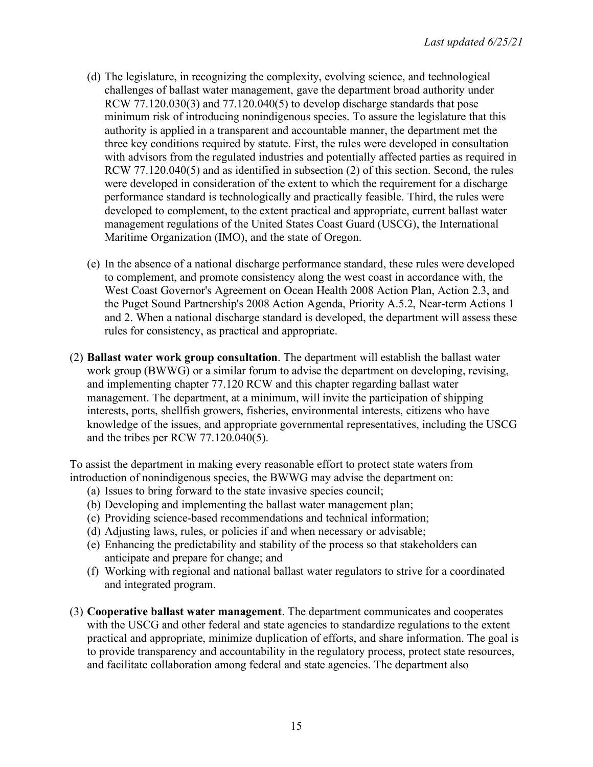- (d) The legislature, in recognizing the complexity, evolving science, and technological challenges of ballast water management, gave the department broad authority under RCW  $77.120.030(3)$  and  $77.120.040(5)$  to develop discharge standards that pose minimum risk of introducing nonindigenous species. To assure the legislature that this authority is applied in a transparent and accountable manner, the department met the three key conditions required by statute. First, the rules were developed in consultation with advisors from the regulated industries and potentially affected parties as required in RCW 77.120.040(5) and as identified in subsection (2) of this section. Second, the rules were developed in consideration of the extent to which the requirement for a discharge performance standard is technologically and practically feasible. Third, the rules were developed to complement, to the extent practical and appropriate, current ballast water management regulations of the United States Coast Guard (USCG), the International Maritime Organization (IMO), and the state of Oregon.
- (e) In the absence of a national discharge performance standard, these rules were developed to complement, and promote consistency along the west coast in accordance with, the West Coast Governor's Agreement on Ocean Health 2008 Action Plan, Action 2.3, and the Puget Sound Partnership's 2008 Action Agenda, Priority A.5.2, Near-term Actions 1 and 2. When a national discharge standard is developed, the department will assess these rules for consistency, as practical and appropriate.
- (2) **Ballast water work group consultation**. The department will establish the ballast water work group (BWWG) or a similar forum to advise the department on developing, revising, and implementing chapter 77.120 RCW and this chapter regarding ballast water management. The department, at a minimum, will invite the participation of shipping interests, ports, shellfish growers, fisheries, environmental interests, citizens who have knowledge of the issues, and appropriate governmental representatives, including the USCG and the tribes per RCW 77.120.040(5).

To assist the department in making every reasonable effort to protect state waters from introduction of nonindigenous species, the BWWG may advise the department on:

- (a) Issues to bring forward to the state invasive species council;
- (b) Developing and implementing the ballast water management plan;
- (c) Providing science-based recommendations and technical information;
- (d) Adjusting laws, rules, or policies if and when necessary or advisable;
- (e) Enhancing the predictability and stability of the process so that stakeholders can anticipate and prepare for change; and
- (f) Working with regional and national ballast water regulators to strive for a coordinated and integrated program.
- (3) **Cooperative ballast water management**. The department communicates and cooperates with the USCG and other federal and state agencies to standardize regulations to the extent practical and appropriate, minimize duplication of efforts, and share information. The goal is to provide transparency and accountability in the regulatory process, protect state resources, and facilitate collaboration among federal and state agencies. The department also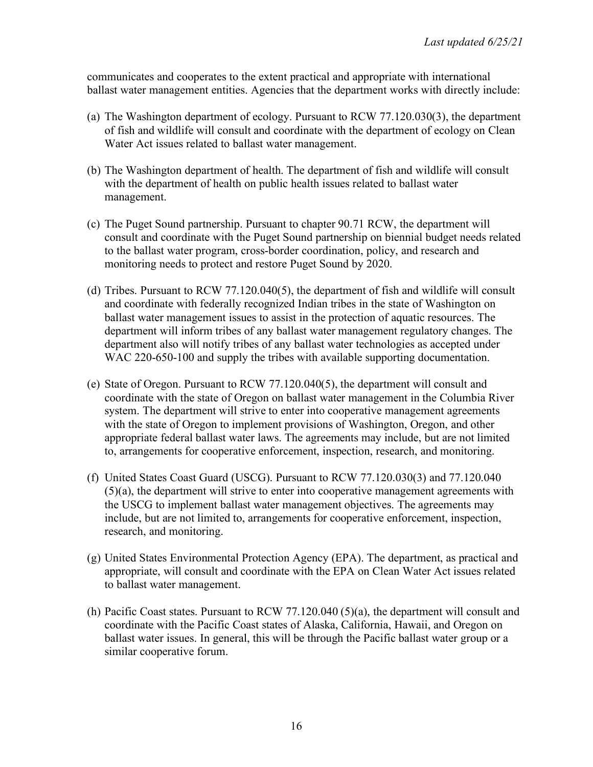communicates and cooperates to the extent practical and appropriate with international ballast water management entities. Agencies that the department works with directly include:

- (a) The Washington department of ecology. Pursuant to RCW 77.120.030(3), the department of fish and wildlife will consult and coordinate with the department of ecology on Clean Water Act issues related to ballast water management.
- (b) The Washington department of health. The department of fish and wildlife will consult with the department of health on public health issues related to ballast water management.
- (c) The Puget Sound partnership. Pursuant to chapter 90.71 RCW, the department will consult and coordinate with the Puget Sound partnership on biennial budget needs related to the ballast water program, cross-border coordination, policy, and research and monitoring needs to protect and restore Puget Sound by 2020.
- (d) Tribes. Pursuant to RCW 77.120.040(5), the department of fish and wildlife will consult and coordinate with federally recognized Indian tribes in the state of Washington on ballast water management issues to assist in the protection of aquatic resources. The department will inform tribes of any ballast water management regulatory changes. The department also will notify tribes of any ballast water technologies as accepted under WAC 220-650-100 and supply the tribes with available supporting documentation.
- (e) State of Oregon. Pursuant to RCW 77.120.040(5), the department will consult and coordinate with the state of Oregon on ballast water management in the Columbia River system. The department will strive to enter into cooperative management agreements with the state of Oregon to implement provisions of Washington, Oregon, and other appropriate federal ballast water laws. The agreements may include, but are not limited to, arrangements for cooperative enforcement, inspection, research, and monitoring.
- (f) United States Coast Guard (USCG). Pursuant to RCW 77.120.030(3) and 77.120.040 (5)(a), the department will strive to enter into cooperative management agreements with the USCG to implement ballast water management objectives. The agreements may include, but are not limited to, arrangements for cooperative enforcement, inspection, research, and monitoring.
- (g) United States Environmental Protection Agency (EPA). The department, as practical and appropriate, will consult and coordinate with the EPA on Clean Water Act issues related to ballast water management.
- (h) Pacific Coast states. Pursuant to RCW 77.120.040 (5)(a), the department will consult and coordinate with the Pacific Coast states of Alaska, California, Hawaii, and Oregon on ballast water issues. In general, this will be through the Pacific ballast water group or a similar cooperative forum.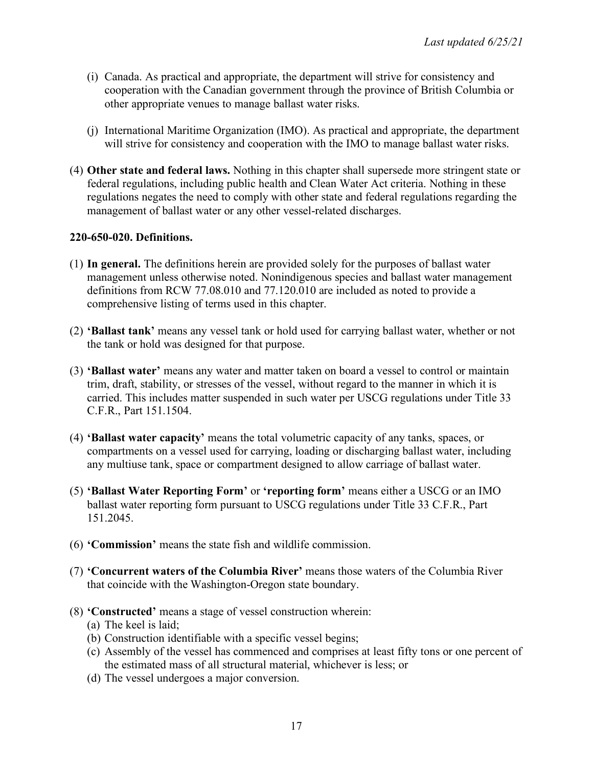- (i) Canada. As practical and appropriate, the department will strive for consistency and cooperation with the Canadian government through the province of British Columbia or other appropriate venues to manage ballast water risks.
- (j) International Maritime Organization (IMO). As practical and appropriate, the department will strive for consistency and cooperation with the IMO to manage ballast water risks.
- (4) **Other state and federal laws.** Nothing in this chapter shall supersede more stringent state or federal regulations, including public health and Clean Water Act criteria. Nothing in these regulations negates the need to comply with other state and federal regulations regarding the management of ballast water or any other vessel-related discharges.

#### **220-650-020. Definitions.**

- (1) **In general.** The definitions herein are provided solely for the purposes of ballast water management unless otherwise noted. Nonindigenous species and ballast water management definitions from RCW 77.08.010 and 77.120.010 are included as noted to provide a comprehensive listing of terms used in this chapter.
- (2) **'Ballast tank'** means any vessel tank or hold used for carrying ballast water, whether or not the tank or hold was designed for that purpose.
- (3) **'Ballast water'** means any water and matter taken on board a vessel to control or maintain trim, draft, stability, or stresses of the vessel, without regard to the manner in which it is carried. This includes matter suspended in such water per USCG regulations under Title 33 C.F.R., Part 151.1504.
- (4) **'Ballast water capacity'** means the total volumetric capacity of any tanks, spaces, or compartments on a vessel used for carrying, loading or discharging ballast water, including any multiuse tank, space or compartment designed to allow carriage of ballast water.
- (5) **'Ballast Water Reporting Form'** or **'reporting form'** means either a USCG or an IMO ballast water reporting form pursuant to USCG regulations under Title 33 C.F.R., Part 151.2045.
- (6) **'Commission'** means the state fish and wildlife commission.
- (7) **'Concurrent waters of the Columbia River'** means those waters of the Columbia River that coincide with the Washington-Oregon state boundary.
- (8) **'Constructed'** means a stage of vessel construction wherein:
	- (a) The keel is laid;
	- (b) Construction identifiable with a specific vessel begins;
	- (c) Assembly of the vessel has commenced and comprises at least fifty tons or one percent of the estimated mass of all structural material, whichever is less; or
	- (d) The vessel undergoes a major conversion.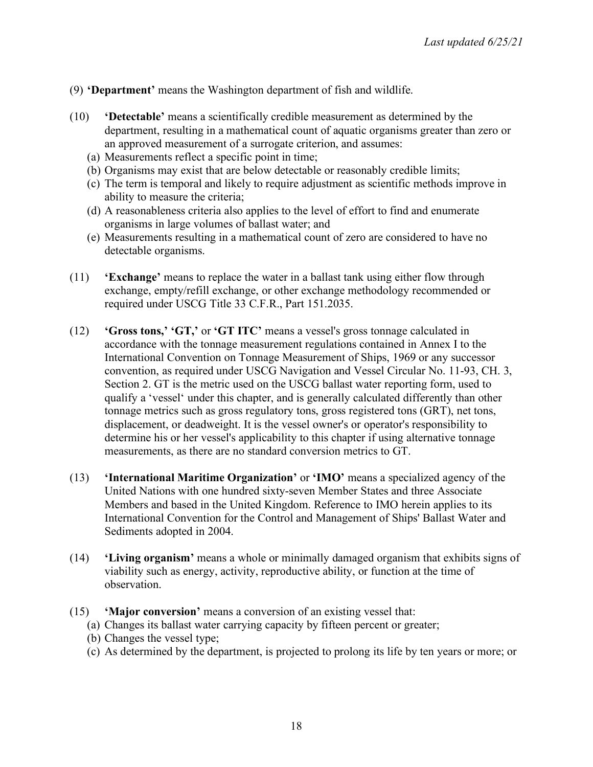### (9) **'Department'** means the Washington department of fish and wildlife.

- (10) **'Detectable'** means a scientifically credible measurement as determined by the department, resulting in a mathematical count of aquatic organisms greater than zero or an approved measurement of a surrogate criterion, and assumes:
	- (a) Measurements reflect a specific point in time;
	- (b) Organisms may exist that are below detectable or reasonably credible limits;
	- (c) The term is temporal and likely to require adjustment as scientific methods improve in ability to measure the criteria;
	- (d) A reasonableness criteria also applies to the level of effort to find and enumerate organisms in large volumes of ballast water; and
	- (e) Measurements resulting in a mathematical count of zero are considered to have no detectable organisms.
- (11) **'Exchange'** means to replace the water in a ballast tank using either flow through exchange, empty/refill exchange, or other exchange methodology recommended or required under USCG Title 33 C.F.R., Part 151.2035.
- (12) **'Gross tons,' 'GT,'** or **'GT ITC'** means a vessel's gross tonnage calculated in accordance with the tonnage measurement regulations contained in Annex I to the International Convention on Tonnage Measurement of Ships, 1969 or any successor convention, as required under USCG Navigation and Vessel Circular No. 11-93, CH. 3, Section 2. GT is the metric used on the USCG ballast water reporting form, used to qualify a 'vessel' under this chapter, and is generally calculated differently than other tonnage metrics such as gross regulatory tons, gross registered tons (GRT), net tons, displacement, or deadweight. It is the vessel owner's or operator's responsibility to determine his or her vessel's applicability to this chapter if using alternative tonnage measurements, as there are no standard conversion metrics to GT.
- (13) **'International Maritime Organization'** or **'IMO'** means a specialized agency of the United Nations with one hundred sixty-seven Member States and three Associate Members and based in the United Kingdom. Reference to IMO herein applies to its International Convention for the Control and Management of Ships' Ballast Water and Sediments adopted in 2004.
- (14) **'Living organism'** means a whole or minimally damaged organism that exhibits signs of viability such as energy, activity, reproductive ability, or function at the time of observation.
- (15) **'Major conversion'** means a conversion of an existing vessel that:
	- (a) Changes its ballast water carrying capacity by fifteen percent or greater;
	- (b) Changes the vessel type;
	- (c) As determined by the department, is projected to prolong its life by ten years or more; or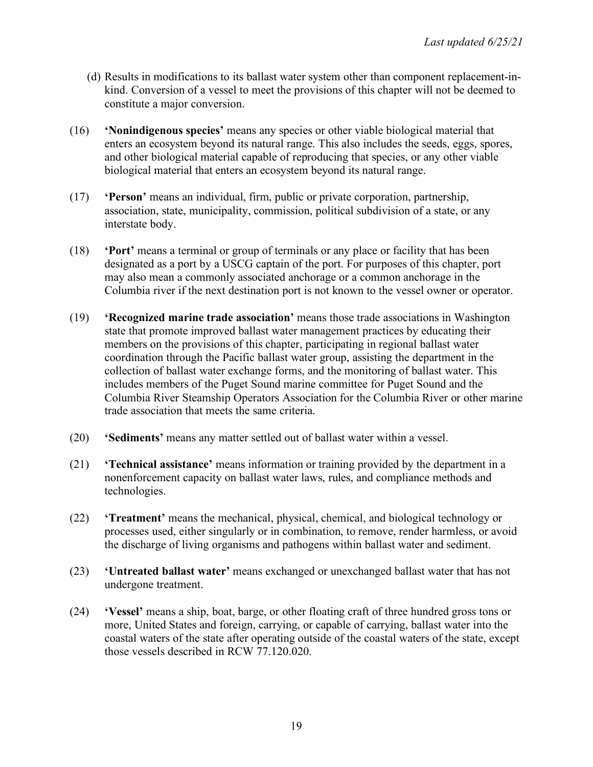- (d) Results in modifications to its ballast water system other than component replacement-inkind. Conversion of a vessel to meet the provisions of this chapter will not be deemed to constitute a major conversion.
- (16) **'Nonindigenous species'** means any species or other viable biological material that enters an ecosystem beyond its natural range. This also includes the seeds, eggs, spores, and other biological material capable of reproducing that species, or any other viable biological material that enters an ecosystem beyond its natural range.
- (17) **'Person'** means an individual, firm, public or private corporation, partnership, association, state, municipality, commission, political subdivision of a state, or any interstate body.
- (18) **'Port'** means a terminal or group of terminals or any place or facility that has been designated as a port by a USCG captain of the port. For purposes of this chapter, port may also mean a commonly associated anchorage or a common anchorage in the Columbia river if the next destination port is not known to the vessel owner or operator.
- (19) **'Recognized marine trade association'** means those trade associations in Washington state that promote improved ballast water management practices by educating their members on the provisions of this chapter, participating in regional ballast water coordination through the Pacific ballast water group, assisting the department in the collection of ballast water exchange forms, and the monitoring of ballast water. This includes members of the Puget Sound marine committee for Puget Sound and the Columbia River Steamship Operators Association for the Columbia River or other marine trade association that meets the same criteria.
- (20) **'Sediments'** means any matter settled out of ballast water within a vessel.
- (21) **'Technical assistance'** means information or training provided by the department in a nonenforcement capacity on ballast water laws, rules, and compliance methods and technologies.
- (22) **'Treatment'** means the mechanical, physical, chemical, and biological technology or processes used, either singularly or in combination, to remove, render harmless, or avoid the discharge of living organisms and pathogens within ballast water and sediment.
- (23) **'Untreated ballast water'** means exchanged or unexchanged ballast water that has not undergone treatment.
- (24) **'Vessel'** means a ship, boat, barge, or other floating craft of three hundred gross tons or more, United States and foreign, carrying, or capable of carrying, ballast water into the coastal waters of the state after operating outside of the coastal waters of the state, except those vessels described in RCW 77.120.020.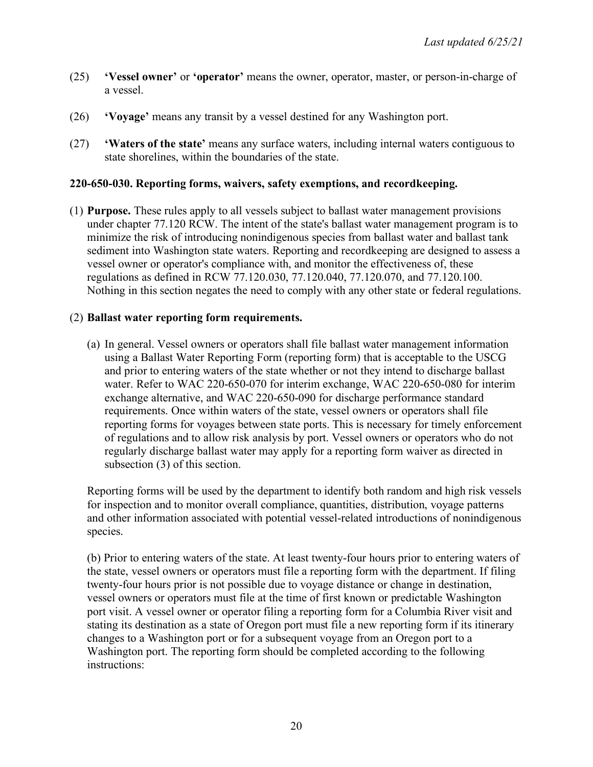- (25) **'Vessel owner'** or **'operator'** means the owner, operator, master, or person-in-charge of a vessel.
- (26) **'Voyage'** means any transit by a vessel destined for any Washington port.
- (27) **'Waters of the state'** means any surface waters, including internal waters contiguous to state shorelines, within the boundaries of the state.

### **220-650-030. Reporting forms, waivers, safety exemptions, and recordkeeping.**

(1) **Purpose.** These rules apply to all vessels subject to ballast water management provisions under chapter 77.120 RCW. The intent of the state's ballast water management program is to minimize the risk of introducing nonindigenous species from ballast water and ballast tank sediment into Washington state waters. Reporting and recordkeeping are designed to assess a vessel owner or operator's compliance with, and monitor the effectiveness of, these regulations as defined in RCW 77.120.030, 77.120.040, 77.120.070, and 77.120.100. Nothing in this section negates the need to comply with any other state or federal regulations.

## (2) **Ballast water reporting form requirements.**

(a) In general. Vessel owners or operators shall file ballast water management information using a Ballast Water Reporting Form (reporting form) that is acceptable to the USCG and prior to entering waters of the state whether or not they intend to discharge ballast water. Refer to WAC 220-650-070 for interim exchange, WAC 220-650-080 for interim exchange alternative, and WAC 220-650-090 for discharge performance standard requirements. Once within waters of the state, vessel owners or operators shall file reporting forms for voyages between state ports. This is necessary for timely enforcement of regulations and to allow risk analysis by port. Vessel owners or operators who do not regularly discharge ballast water may apply for a reporting form waiver as directed in subsection (3) of this section.

Reporting forms will be used by the department to identify both random and high risk vessels for inspection and to monitor overall compliance, quantities, distribution, voyage patterns and other information associated with potential vessel-related introductions of nonindigenous species.

(b) Prior to entering waters of the state. At least twenty-four hours prior to entering waters of the state, vessel owners or operators must file a reporting form with the department. If filing twenty-four hours prior is not possible due to voyage distance or change in destination, vessel owners or operators must file at the time of first known or predictable Washington port visit. A vessel owner or operator filing a reporting form for a Columbia River visit and stating its destination as a state of Oregon port must file a new reporting form if its itinerary changes to a Washington port or for a subsequent voyage from an Oregon port to a Washington port. The reporting form should be completed according to the following instructions: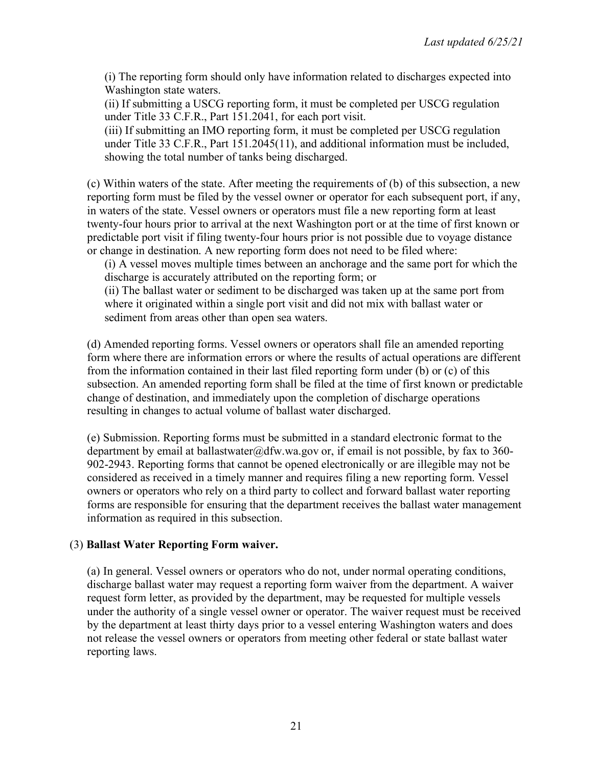(i) The reporting form should only have information related to discharges expected into Washington state waters.

(ii) If submitting a USCG reporting form, it must be completed per USCG regulation under Title 33 C.F.R., Part 151.2041, for each port visit.

(iii) If submitting an IMO reporting form, it must be completed per USCG regulation under Title 33 C.F.R., Part 151.2045(11), and additional information must be included, showing the total number of tanks being discharged.

(c) Within waters of the state. After meeting the requirements of (b) of this subsection, a new reporting form must be filed by the vessel owner or operator for each subsequent port, if any, in waters of the state. Vessel owners or operators must file a new reporting form at least twenty-four hours prior to arrival at the next Washington port or at the time of first known or predictable port visit if filing twenty-four hours prior is not possible due to voyage distance or change in destination. A new reporting form does not need to be filed where:

(i) A vessel moves multiple times between an anchorage and the same port for which the discharge is accurately attributed on the reporting form; or

(ii) The ballast water or sediment to be discharged was taken up at the same port from where it originated within a single port visit and did not mix with ballast water or sediment from areas other than open sea waters.

(d) Amended reporting forms. Vessel owners or operators shall file an amended reporting form where there are information errors or where the results of actual operations are different from the information contained in their last filed reporting form under (b) or (c) of this subsection. An amended reporting form shall be filed at the time of first known or predictable change of destination, and immediately upon the completion of discharge operations resulting in changes to actual volume of ballast water discharged.

(e) Submission. Reporting forms must be submitted in a standard electronic format to the department by email at ballastwater@dfw.wa.gov or, if email is not possible, by fax to 360-902-2943. Reporting forms that cannot be opened electronically or are illegible may not be considered as received in a timely manner and requires filing a new reporting form. Vessel owners or operators who rely on a third party to collect and forward ballast water reporting forms are responsible for ensuring that the department receives the ballast water management information as required in this subsection.

### (3) **Ballast Water Reporting Form waiver.**

(a) In general. Vessel owners or operators who do not, under normal operating conditions, discharge ballast water may request a reporting form waiver from the department. A waiver request form letter, as provided by the department, may be requested for multiple vessels under the authority of a single vessel owner or operator. The waiver request must be received by the department at least thirty days prior to a vessel entering Washington waters and does not release the vessel owners or operators from meeting other federal or state ballast water reporting laws.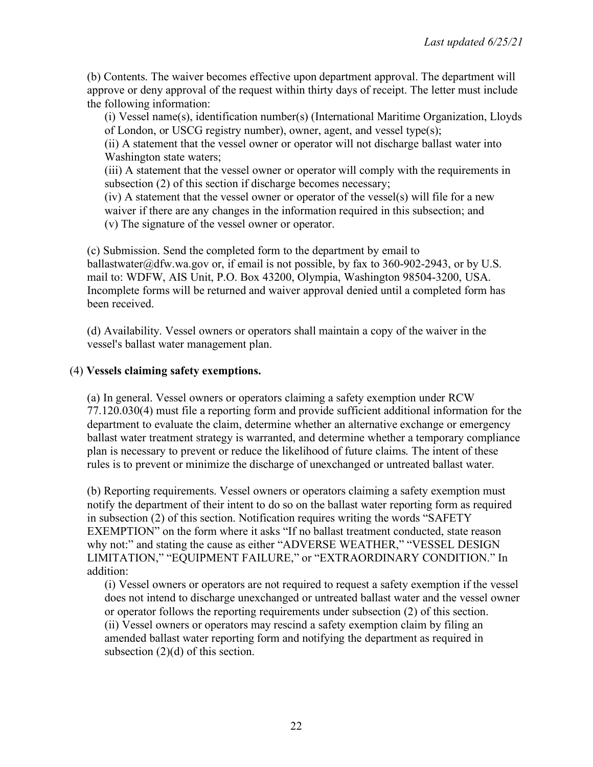(b) Contents. The waiver becomes effective upon department approval. The department will approve or deny approval of the request within thirty days of receipt. The letter must include the following information:

(i) Vessel name(s), identification number(s) (International Maritime Organization, Lloyds of London, or USCG registry number), owner, agent, and vessel type(s);

(ii) A statement that the vessel owner or operator will not discharge ballast water into Washington state waters;

(iii) A statement that the vessel owner or operator will comply with the requirements in subsection (2) of this section if discharge becomes necessary;

(iv) A statement that the vessel owner or operator of the vessel(s) will file for a new waiver if there are any changes in the information required in this subsection; and (v) The signature of the vessel owner or operator.

(c) Submission. Send the completed form to the department by email to ballastwater@dfw.wa.gov or, if email is not possible, by fax to 360-902-2943, or by U.S. mail to: WDFW, AIS Unit, P.O. Box 43200, Olympia, Washington 98504-3200, USA. Incomplete forms will be returned and waiver approval denied until a completed form has been received.

(d) Availability. Vessel owners or operators shall maintain a copy of the waiver in the vessel's ballast water management plan.

### (4) **Vessels claiming safety exemptions.**

(a) In general. Vessel owners or operators claiming a safety exemption under RCW 77.120.030(4) must file a reporting form and provide sufficient additional information for the department to evaluate the claim, determine whether an alternative exchange or emergency ballast water treatment strategy is warranted, and determine whether a temporary compliance plan is necessary to prevent or reduce the likelihood of future claims. The intent of these rules is to prevent or minimize the discharge of unexchanged or untreated ballast water.

(b) Reporting requirements. Vessel owners or operators claiming a safety exemption must notify the department of their intent to do so on the ballast water reporting form as required in subsection (2) of this section. Notification requires writing the words "SAFETY EXEMPTION" on the form where it asks "If no ballast treatment conducted, state reason why not:" and stating the cause as either "ADVERSE WEATHER," "VESSEL DESIGN LIMITATION," "EQUIPMENT FAILURE," or "EXTRAORDINARY CONDITION." In addition:

(i) Vessel owners or operators are not required to request a safety exemption if the vessel does not intend to discharge unexchanged or untreated ballast water and the vessel owner or operator follows the reporting requirements under subsection (2) of this section. (ii) Vessel owners or operators may rescind a safety exemption claim by filing an amended ballast water reporting form and notifying the department as required in subsection (2)(d) of this section.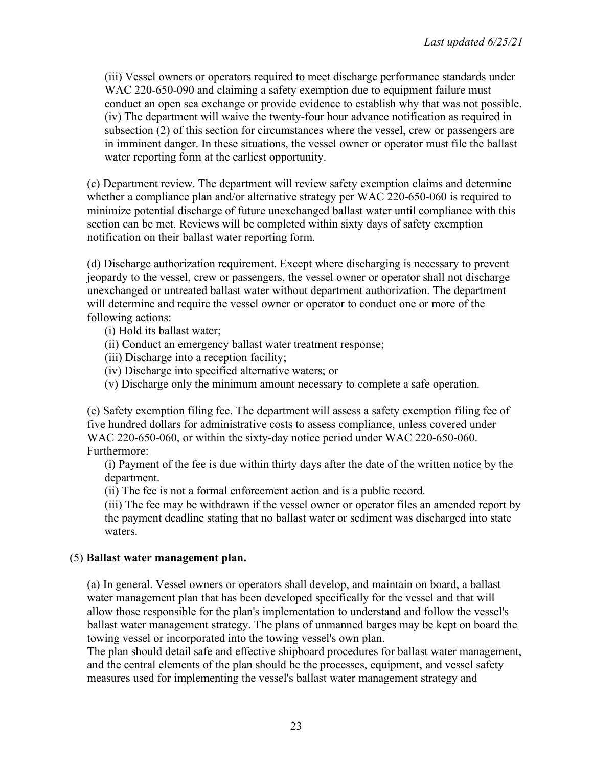(iii) Vessel owners or operators required to meet discharge performance standards under WAC 220-650-090 and claiming a safety exemption due to equipment failure must conduct an open sea exchange or provide evidence to establish why that was not possible. (iv) The department will waive the twenty-four hour advance notification as required in subsection (2) of this section for circumstances where the vessel, crew or passengers are in imminent danger. In these situations, the vessel owner or operator must file the ballast water reporting form at the earliest opportunity.

(c) Department review. The department will review safety exemption claims and determine whether a compliance plan and/or alternative strategy per WAC 220-650-060 is required to minimize potential discharge of future unexchanged ballast water until compliance with this section can be met. Reviews will be completed within sixty days of safety exemption notification on their ballast water reporting form.

(d) Discharge authorization requirement. Except where discharging is necessary to prevent jeopardy to the vessel, crew or passengers, the vessel owner or operator shall not discharge unexchanged or untreated ballast water without department authorization. The department will determine and require the vessel owner or operator to conduct one or more of the following actions:

- (i) Hold its ballast water;
- (ii) Conduct an emergency ballast water treatment response;
- (iii) Discharge into a reception facility;
- (iv) Discharge into specified alternative waters; or
- (v) Discharge only the minimum amount necessary to complete a safe operation.

(e) Safety exemption filing fee. The department will assess a safety exemption filing fee of five hundred dollars for administrative costs to assess compliance, unless covered under WAC 220-650-060, or within the sixty-day notice period under WAC 220-650-060. Furthermore:

(i) Payment of the fee is due within thirty days after the date of the written notice by the department.

(ii) The fee is not a formal enforcement action and is a public record.

(iii) The fee may be withdrawn if the vessel owner or operator files an amended report by the payment deadline stating that no ballast water or sediment was discharged into state waters.

### (5) **Ballast water management plan.**

(a) In general. Vessel owners or operators shall develop, and maintain on board, a ballast water management plan that has been developed specifically for the vessel and that will allow those responsible for the plan's implementation to understand and follow the vessel's ballast water management strategy. The plans of unmanned barges may be kept on board the towing vessel or incorporated into the towing vessel's own plan.

The plan should detail safe and effective shipboard procedures for ballast water management, and the central elements of the plan should be the processes, equipment, and vessel safety measures used for implementing the vessel's ballast water management strategy and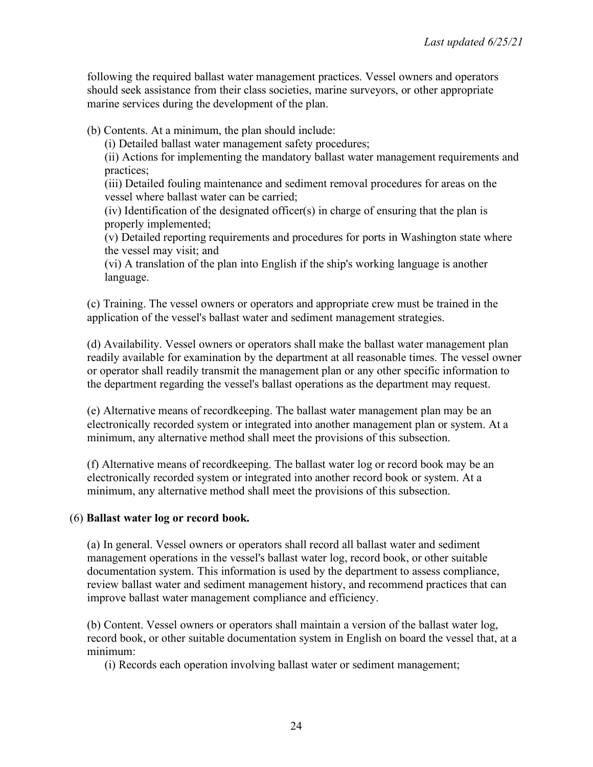following the required ballast water management practices. Vessel owners and operators should seek assistance from their class societies, marine surveyors, or other appropriate marine services during the development of the plan.

(b) Contents. At a minimum, the plan should include:

(i) Detailed ballast water management safety procedures;

(ii) Actions for implementing the mandatory ballast water management requirements and practices;

(iii) Detailed fouling maintenance and sediment removal procedures for areas on the vessel where ballast water can be carried;

(iv) Identification of the designated officer(s) in charge of ensuring that the plan is properly implemented;

(v) Detailed reporting requirements and procedures for ports in Washington state where the vessel may visit; and

(vi) A translation of the plan into English if the ship's working language is another language.

(c) Training. The vessel owners or operators and appropriate crew must be trained in the application of the vessel's ballast water and sediment management strategies.

(d) Availability. Vessel owners or operators shall make the ballast water management plan readily available for examination by the department at all reasonable times. The vessel owner or operator shall readily transmit the management plan or any other specific information to the department regarding the vessel's ballast operations as the department may request.

(e) Alternative means of recordkeeping. The ballast water management plan may be an electronically recorded system or integrated into another management plan or system. At a minimum, any alternative method shall meet the provisions of this subsection.

(f) Alternative means of recordkeeping. The ballast water log or record book may be an electronically recorded system or integrated into another record book or system. At a minimum, any alternative method shall meet the provisions of this subsection.

# (6) **Ballast water log or record book.**

(a) In general. Vessel owners or operators shall record all ballast water and sediment management operations in the vessel's ballast water log, record book, or other suitable documentation system. This information is used by the department to assess compliance, review ballast water and sediment management history, and recommend practices that can improve ballast water management compliance and efficiency.

(b) Content. Vessel owners or operators shall maintain a version of the ballast water log, record book, or other suitable documentation system in English on board the vessel that, at a minimum:

(i) Records each operation involving ballast water or sediment management;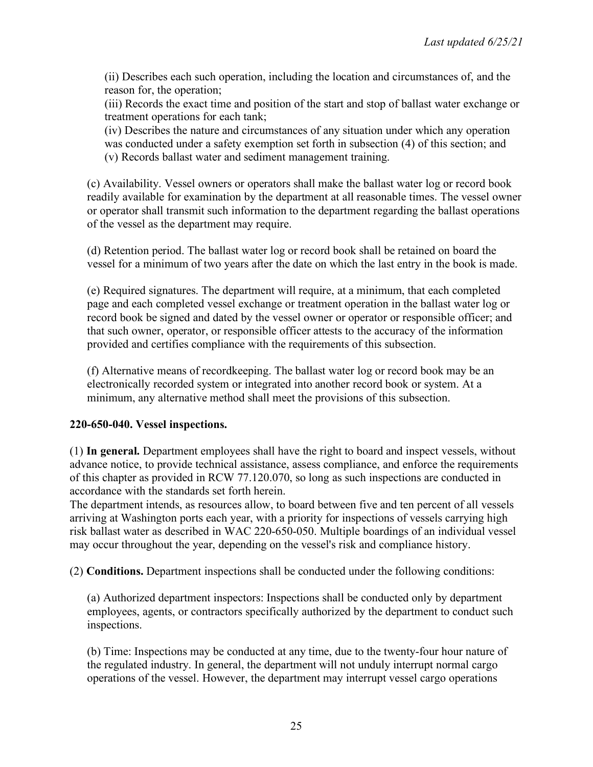(ii) Describes each such operation, including the location and circumstances of, and the reason for, the operation;

(iii) Records the exact time and position of the start and stop of ballast water exchange or treatment operations for each tank;

(iv) Describes the nature and circumstances of any situation under which any operation was conducted under a safety exemption set forth in subsection (4) of this section; and (v) Records ballast water and sediment management training.

(c) Availability. Vessel owners or operators shall make the ballast water log or record book readily available for examination by the department at all reasonable times. The vessel owner or operator shall transmit such information to the department regarding the ballast operations of the vessel as the department may require.

(d) Retention period. The ballast water log or record book shall be retained on board the vessel for a minimum of two years after the date on which the last entry in the book is made.

(e) Required signatures. The department will require, at a minimum, that each completed page and each completed vessel exchange or treatment operation in the ballast water log or record book be signed and dated by the vessel owner or operator or responsible officer; and that such owner, operator, or responsible officer attests to the accuracy of the information provided and certifies compliance with the requirements of this subsection.

(f) Alternative means of recordkeeping. The ballast water log or record book may be an electronically recorded system or integrated into another record book or system. At a minimum, any alternative method shall meet the provisions of this subsection.

### **220-650-040. Vessel inspections.**

(1) **In general.** Department employees shall have the right to board and inspect vessels, without advance notice, to provide technical assistance, assess compliance, and enforce the requirements of this chapter as provided in RCW 77.120.070, so long as such inspections are conducted in accordance with the standards set forth herein.

The department intends, as resources allow, to board between five and ten percent of all vessels arriving at Washington ports each year, with a priority for inspections of vessels carrying high risk ballast water as described in WAC 220-650-050. Multiple boardings of an individual vessel may occur throughout the year, depending on the vessel's risk and compliance history.

(2) **Conditions.** Department inspections shall be conducted under the following conditions:

(a) Authorized department inspectors: Inspections shall be conducted only by department employees, agents, or contractors specifically authorized by the department to conduct such inspections.

(b) Time: Inspections may be conducted at any time, due to the twenty-four hour nature of the regulated industry. In general, the department will not unduly interrupt normal cargo operations of the vessel. However, the department may interrupt vessel cargo operations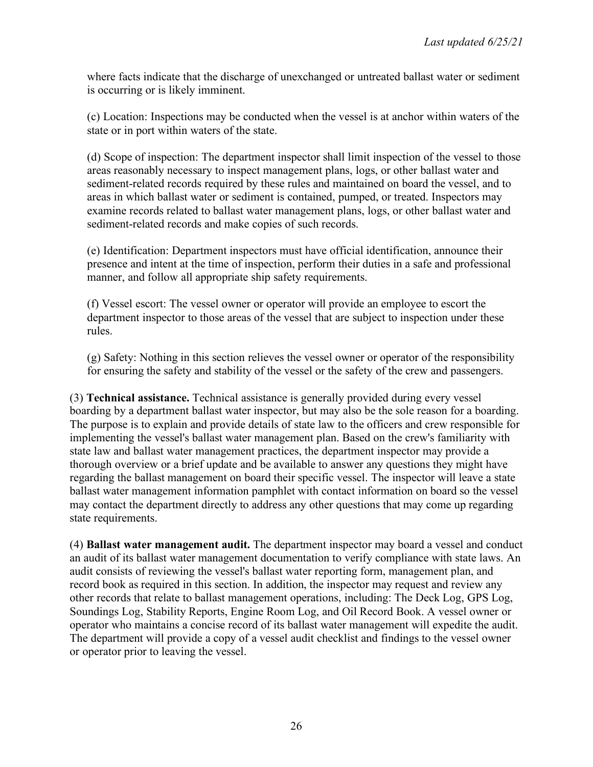where facts indicate that the discharge of unexchanged or untreated ballast water or sediment is occurring or is likely imminent.

(c) Location: Inspections may be conducted when the vessel is at anchor within waters of the state or in port within waters of the state.

(d) Scope of inspection: The department inspector shall limit inspection of the vessel to those areas reasonably necessary to inspect management plans, logs, or other ballast water and sediment-related records required by these rules and maintained on board the vessel, and to areas in which ballast water or sediment is contained, pumped, or treated. Inspectors may examine records related to ballast water management plans, logs, or other ballast water and sediment-related records and make copies of such records.

(e) Identification: Department inspectors must have official identification, announce their presence and intent at the time of inspection, perform their duties in a safe and professional manner, and follow all appropriate ship safety requirements.

(f) Vessel escort: The vessel owner or operator will provide an employee to escort the department inspector to those areas of the vessel that are subject to inspection under these rules.

(g) Safety: Nothing in this section relieves the vessel owner or operator of the responsibility for ensuring the safety and stability of the vessel or the safety of the crew and passengers.

(3) **Technical assistance.** Technical assistance is generally provided during every vessel boarding by a department ballast water inspector, but may also be the sole reason for a boarding. The purpose is to explain and provide details of state law to the officers and crew responsible for implementing the vessel's ballast water management plan. Based on the crew's familiarity with state law and ballast water management practices, the department inspector may provide a thorough overview or a brief update and be available to answer any questions they might have regarding the ballast management on board their specific vessel. The inspector will leave a state ballast water management information pamphlet with contact information on board so the vessel may contact the department directly to address any other questions that may come up regarding state requirements.

(4) **Ballast water management audit.** The department inspector may board a vessel and conduct an audit of its ballast water management documentation to verify compliance with state laws. An audit consists of reviewing the vessel's ballast water reporting form, management plan, and record book as required in this section. In addition, the inspector may request and review any other records that relate to ballast management operations, including: The Deck Log, GPS Log, Soundings Log, Stability Reports, Engine Room Log, and Oil Record Book. A vessel owner or operator who maintains a concise record of its ballast water management will expedite the audit. The department will provide a copy of a vessel audit checklist and findings to the vessel owner or operator prior to leaving the vessel.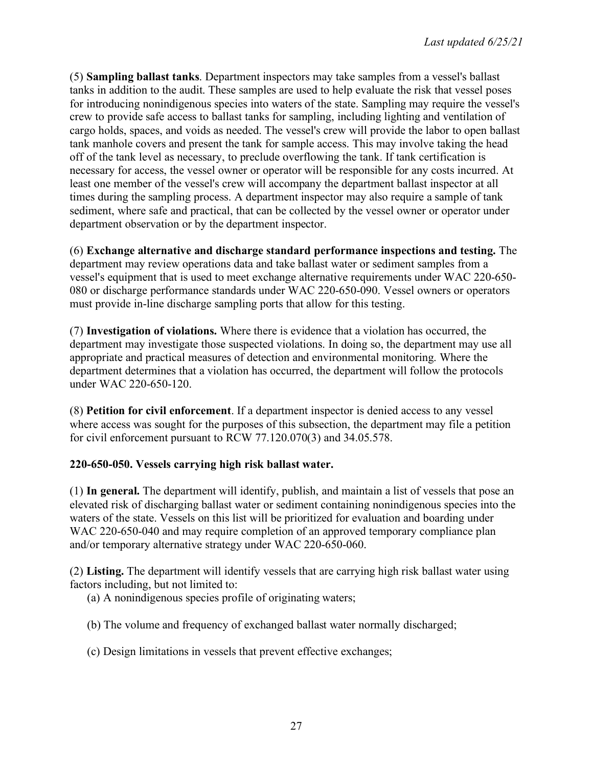(5) **Sampling ballast tanks**. Department inspectors may take samples from a vessel's ballast tanks in addition to the audit. These samples are used to help evaluate the risk that vessel poses for introducing nonindigenous species into waters of the state. Sampling may require the vessel's crew to provide safe access to ballast tanks for sampling, including lighting and ventilation of cargo holds, spaces, and voids as needed. The vessel's crew will provide the labor to open ballast tank manhole covers and present the tank for sample access. This may involve taking the head off of the tank level as necessary, to preclude overflowing the tank. If tank certification is necessary for access, the vessel owner or operator will be responsible for any costs incurred. At least one member of the vessel's crew will accompany the department ballast inspector at all times during the sampling process. A department inspector may also require a sample of tank sediment, where safe and practical, that can be collected by the vessel owner or operator under department observation or by the department inspector.

(6) **Exchange alternative and discharge standard performance inspections and testing.** The department may review operations data and take ballast water or sediment samples from a vessel's equipment that is used to meet exchange alternative requirements under WAC 220-650- 080 or discharge performance standards under WAC 220-650-090. Vessel owners or operators must provide in-line discharge sampling ports that allow for this testing.

(7) **Investigation of violations.** Where there is evidence that a violation has occurred, the department may investigate those suspected violations. In doing so, the department may use all appropriate and practical measures of detection and environmental monitoring. Where the department determines that a violation has occurred, the department will follow the protocols under WAC 220-650-120.

(8) **Petition for civil enforcement**. If a department inspector is denied access to any vessel where access was sought for the purposes of this subsection, the department may file a petition for civil enforcement pursuant to RCW 77.120.070(3) and 34.05.578.

# **220-650-050. Vessels carrying high risk ballast water.**

(1) **In general.** The department will identify, publish, and maintain a list of vessels that pose an elevated risk of discharging ballast water or sediment containing nonindigenous species into the waters of the state. Vessels on this list will be prioritized for evaluation and boarding under WAC 220-650-040 and may require completion of an approved temporary compliance plan and/or temporary alternative strategy under WAC 220-650-060.

(2) **Listing.** The department will identify vessels that are carrying high risk ballast water using factors including, but not limited to:

(a) A nonindigenous species profile of originating waters;

- (b) The volume and frequency of exchanged ballast water normally discharged;
- (c) Design limitations in vessels that prevent effective exchanges;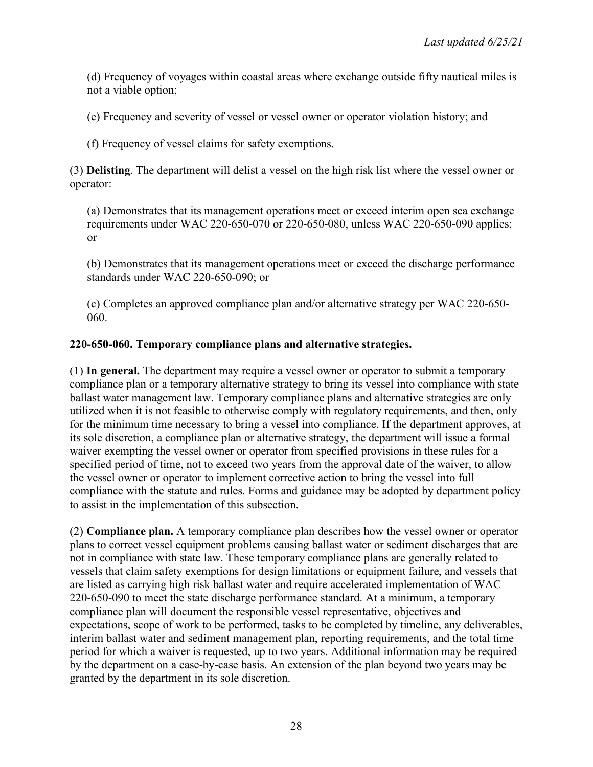(d) Frequency of voyages within coastal areas where exchange outside fifty nautical miles is not a viable option;

(e) Frequency and severity of vessel or vessel owner or operator violation history; and

(f) Frequency of vessel claims for safety exemptions.

(3) **Delisting**. The department will delist a vessel on the high risk list where the vessel owner or operator:

(a) Demonstrates that its management operations meet or exceed interim open sea exchange requirements under WAC 220-650-070 or 220-650-080, unless WAC 220-650-090 applies; or

(b) Demonstrates that its management operations meet or exceed the discharge performance standards under WAC 220-650-090; or

(c) Completes an approved compliance plan and/or alternative strategy per WAC 220-650- 060.

## **220-650-060. Temporary compliance plans and alternative strategies.**

(1) **In general.** The department may require a vessel owner or operator to submit a temporary compliance plan or a temporary alternative strategy to bring its vessel into compliance with state ballast water management law. Temporary compliance plans and alternative strategies are only utilized when it is not feasible to otherwise comply with regulatory requirements, and then, only for the minimum time necessary to bring a vessel into compliance. If the department approves, at its sole discretion, a compliance plan or alternative strategy, the department will issue a formal waiver exempting the vessel owner or operator from specified provisions in these rules for a specified period of time, not to exceed two years from the approval date of the waiver, to allow the vessel owner or operator to implement corrective action to bring the vessel into full compliance with the statute and rules. Forms and guidance may be adopted by department policy to assist in the implementation of this subsection.

(2) **Compliance plan.** A temporary compliance plan describes how the vessel owner or operator plans to correct vessel equipment problems causing ballast water or sediment discharges that are not in compliance with state law. These temporary compliance plans are generally related to vessels that claim safety exemptions for design limitations or equipment failure, and vessels that are listed as carrying high risk ballast water and require accelerated implementation of WAC 220-650-090 to meet the state discharge performance standard. At a minimum, a temporary compliance plan will document the responsible vessel representative, objectives and expectations, scope of work to be performed, tasks to be completed by timeline, any deliverables, interim ballast water and sediment management plan, reporting requirements, and the total time period for which a waiver is requested, up to two years. Additional information may be required by the department on a case-by-case basis. An extension of the plan beyond two years may be granted by the department in its sole discretion.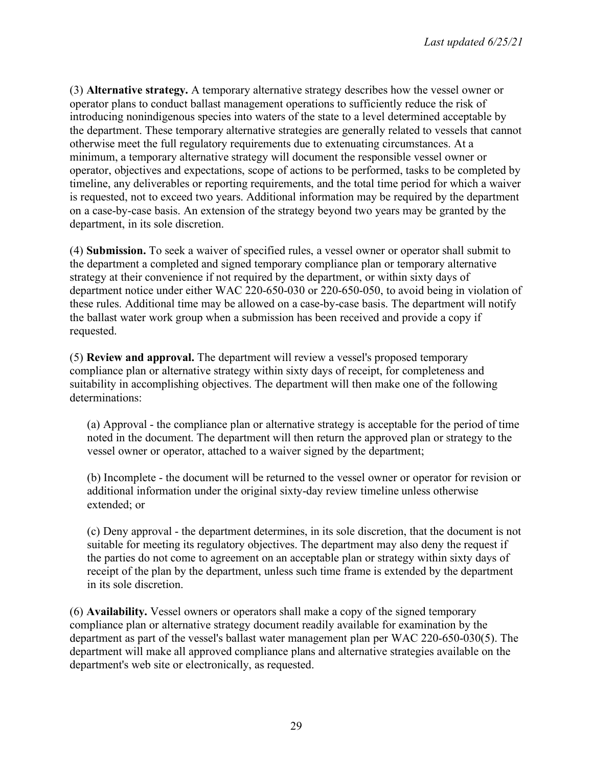(3) **Alternative strategy.** A temporary alternative strategy describes how the vessel owner or operator plans to conduct ballast management operations to sufficiently reduce the risk of introducing nonindigenous species into waters of the state to a level determined acceptable by the department. These temporary alternative strategies are generally related to vessels that cannot otherwise meet the full regulatory requirements due to extenuating circumstances. At a minimum, a temporary alternative strategy will document the responsible vessel owner or operator, objectives and expectations, scope of actions to be performed, tasks to be completed by timeline, any deliverables or reporting requirements, and the total time period for which a waiver is requested, not to exceed two years. Additional information may be required by the department on a case-by-case basis. An extension of the strategy beyond two years may be granted by the department, in its sole discretion.

(4) **Submission.** To seek a waiver of specified rules, a vessel owner or operator shall submit to the department a completed and signed temporary compliance plan or temporary alternative strategy at their convenience if not required by the department, or within sixty days of department notice under either WAC 220-650-030 or 220-650-050, to avoid being in violation of these rules. Additional time may be allowed on a case-by-case basis. The department will notify the ballast water work group when a submission has been received and provide a copy if requested.

(5) **Review and approval.** The department will review a vessel's proposed temporary compliance plan or alternative strategy within sixty days of receipt, for completeness and suitability in accomplishing objectives. The department will then make one of the following determinations:

(a) Approval - the compliance plan or alternative strategy is acceptable for the period of time noted in the document. The department will then return the approved plan or strategy to the vessel owner or operator, attached to a waiver signed by the department;

(b) Incomplete - the document will be returned to the vessel owner or operator for revision or additional information under the original sixty-day review timeline unless otherwise extended; or

(c) Deny approval - the department determines, in its sole discretion, that the document is not suitable for meeting its regulatory objectives. The department may also deny the request if the parties do not come to agreement on an acceptable plan or strategy within sixty days of receipt of the plan by the department, unless such time frame is extended by the department in its sole discretion.

(6) **Availability.** Vessel owners or operators shall make a copy of the signed temporary compliance plan or alternative strategy document readily available for examination by the department as part of the vessel's ballast water management plan per WAC 220-650-030(5). The department will make all approved compliance plans and alternative strategies available on the department's web site or electronically, as requested.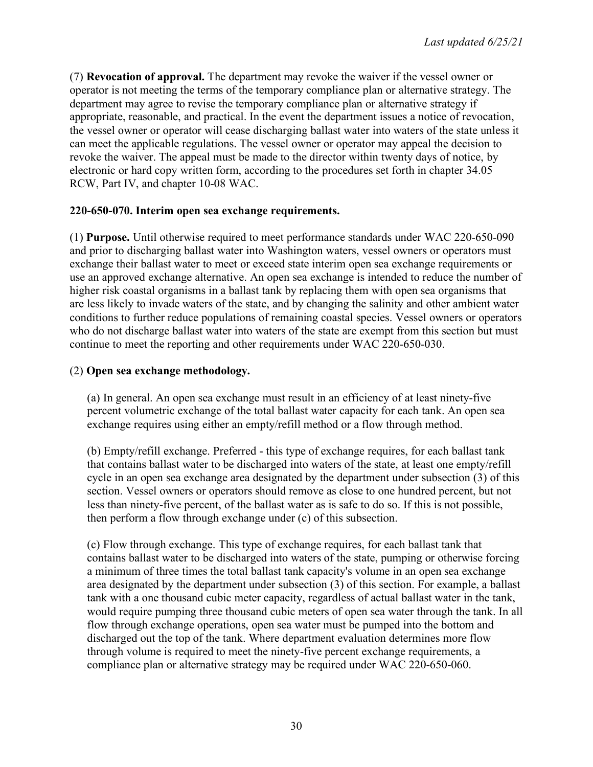(7) **Revocation of approval.** The department may revoke the waiver if the vessel owner or operator is not meeting the terms of the temporary compliance plan or alternative strategy. The department may agree to revise the temporary compliance plan or alternative strategy if appropriate, reasonable, and practical. In the event the department issues a notice of revocation, the vessel owner or operator will cease discharging ballast water into waters of the state unless it can meet the applicable regulations. The vessel owner or operator may appeal the decision to revoke the waiver. The appeal must be made to the director within twenty days of notice, by electronic or hard copy written form, according to the procedures set forth in chapter 34.05 RCW, Part IV, and chapter 10-08 WAC.

## **220-650-070. Interim open sea exchange requirements.**

(1) **Purpose.** Until otherwise required to meet performance standards under WAC 220-650-090 and prior to discharging ballast water into Washington waters, vessel owners or operators must exchange their ballast water to meet or exceed state interim open sea exchange requirements or use an approved exchange alternative. An open sea exchange is intended to reduce the number of higher risk coastal organisms in a ballast tank by replacing them with open sea organisms that are less likely to invade waters of the state, and by changing the salinity and other ambient water conditions to further reduce populations of remaining coastal species. Vessel owners or operators who do not discharge ballast water into waters of the state are exempt from this section but must continue to meet the reporting and other requirements under WAC 220-650-030.

## (2) **Open sea exchange methodology.**

(a) In general. An open sea exchange must result in an efficiency of at least ninety-five percent volumetric exchange of the total ballast water capacity for each tank. An open sea exchange requires using either an empty/refill method or a flow through method.

(b) Empty/refill exchange. Preferred - this type of exchange requires, for each ballast tank that contains ballast water to be discharged into waters of the state, at least one empty/refill cycle in an open sea exchange area designated by the department under subsection (3) of this section. Vessel owners or operators should remove as close to one hundred percent, but not less than ninety-five percent, of the ballast water as is safe to do so. If this is not possible, then perform a flow through exchange under (c) of this subsection.

(c) Flow through exchange. This type of exchange requires, for each ballast tank that contains ballast water to be discharged into waters of the state, pumping or otherwise forcing a minimum of three times the total ballast tank capacity's volume in an open sea exchange area designated by the department under subsection (3) of this section. For example, a ballast tank with a one thousand cubic meter capacity, regardless of actual ballast water in the tank, would require pumping three thousand cubic meters of open sea water through the tank. In all flow through exchange operations, open sea water must be pumped into the bottom and discharged out the top of the tank. Where department evaluation determines more flow through volume is required to meet the ninety-five percent exchange requirements, a compliance plan or alternative strategy may be required under WAC 220-650-060.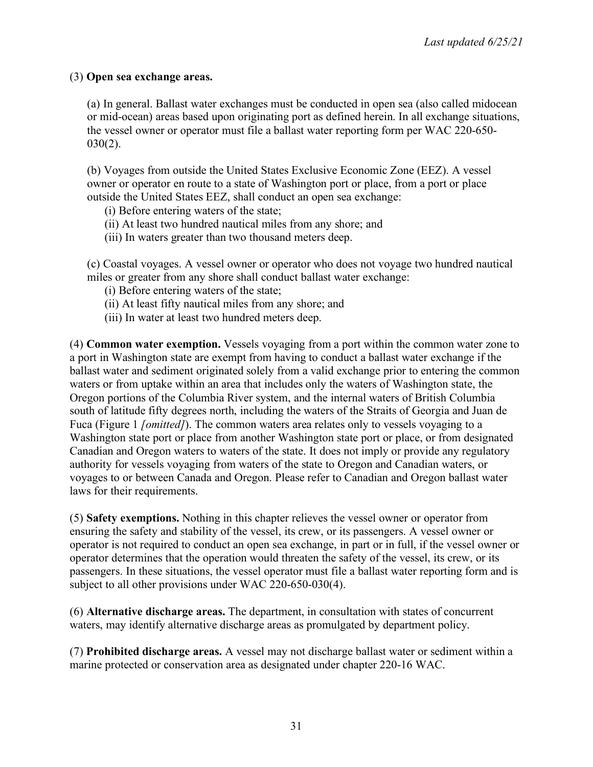### (3) **Open sea exchange areas.**

(a) In general. Ballast water exchanges must be conducted in open sea (also called midocean or mid-ocean) areas based upon originating port as defined herein. In all exchange situations, the vessel owner or operator must file a ballast water reporting form per WAC 220-650-  $030(2)$ .

(b) Voyages from outside the United States Exclusive Economic Zone (EEZ). A vessel owner or operator en route to a state of Washington port or place, from a port or place outside the United States EEZ, shall conduct an open sea exchange:

- (i) Before entering waters of the state;
- (ii) At least two hundred nautical miles from any shore; and
- (iii) In waters greater than two thousand meters deep.

(c) Coastal voyages. A vessel owner or operator who does not voyage two hundred nautical miles or greater from any shore shall conduct ballast water exchange:

- (i) Before entering waters of the state;
- (ii) At least fifty nautical miles from any shore; and
- (iii) In water at least two hundred meters deep.

(4) **Common water exemption.** Vessels voyaging from a port within the common water zone to a port in Washington state are exempt from having to conduct a ballast water exchange if the ballast water and sediment originated solely from a valid exchange prior to entering the common waters or from uptake within an area that includes only the waters of Washington state, the Oregon portions of the Columbia River system, and the internal waters of British Columbia south of latitude fifty degrees north, including the waters of the Straits of Georgia and Juan de Fuca (Figure 1 *[omitted]*). The common waters area relates only to vessels voyaging to a Washington state port or place from another Washington state port or place, or from designated Canadian and Oregon waters to waters of the state. It does not imply or provide any regulatory authority for vessels voyaging from waters of the state to Oregon and Canadian waters, or voyages to or between Canada and Oregon. Please refer to Canadian and Oregon ballast water laws for their requirements.

(5) **Safety exemptions.** Nothing in this chapter relieves the vessel owner or operator from ensuring the safety and stability of the vessel, its crew, or its passengers. A vessel owner or operator is not required to conduct an open sea exchange, in part or in full, if the vessel owner or operator determines that the operation would threaten the safety of the vessel, its crew, or its passengers. In these situations, the vessel operator must file a ballast water reporting form and is subject to all other provisions under WAC 220-650-030(4).

(6) **Alternative discharge areas.** The department, in consultation with states of concurrent waters, may identify alternative discharge areas as promulgated by department policy.

(7) **Prohibited discharge areas.** A vessel may not discharge ballast water or sediment within a marine protected or conservation area as designated under chapter 220-16 WAC.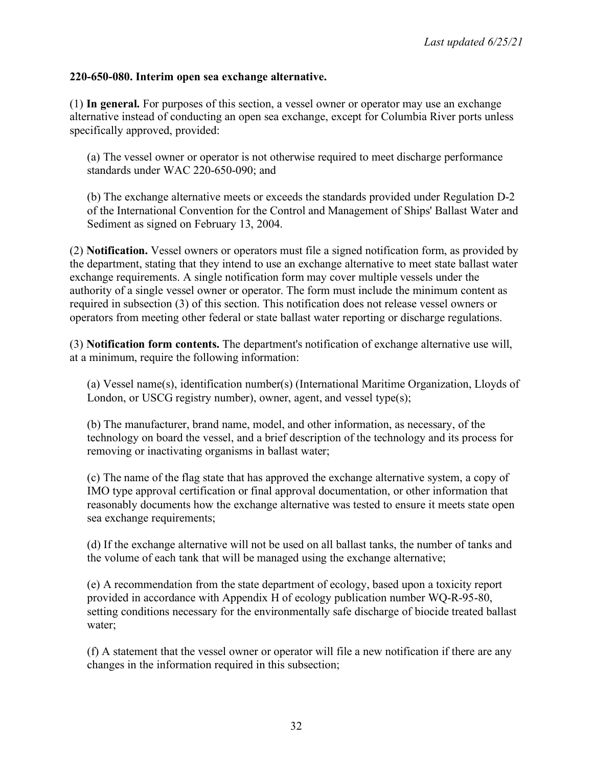#### **220-650-080. Interim open sea exchange alternative.**

(1) **In general.** For purposes of this section, a vessel owner or operator may use an exchange alternative instead of conducting an open sea exchange, except for Columbia River ports unless specifically approved, provided:

(a) The vessel owner or operator is not otherwise required to meet discharge performance standards under WAC 220-650-090; and

(b) The exchange alternative meets or exceeds the standards provided under Regulation D-2 of the International Convention for the Control and Management of Ships' Ballast Water and Sediment as signed on February 13, 2004.

(2) **Notification.** Vessel owners or operators must file a signed notification form, as provided by the department, stating that they intend to use an exchange alternative to meet state ballast water exchange requirements. A single notification form may cover multiple vessels under the authority of a single vessel owner or operator. The form must include the minimum content as required in subsection (3) of this section. This notification does not release vessel owners or operators from meeting other federal or state ballast water reporting or discharge regulations.

(3) **Notification form contents.** The department's notification of exchange alternative use will, at a minimum, require the following information:

(a) Vessel name(s), identification number(s) (International Maritime Organization, Lloyds of London, or USCG registry number), owner, agent, and vessel type(s);

(b) The manufacturer, brand name, model, and other information, as necessary, of the technology on board the vessel, and a brief description of the technology and its process for removing or inactivating organisms in ballast water;

(c) The name of the flag state that has approved the exchange alternative system, a copy of IMO type approval certification or final approval documentation, or other information that reasonably documents how the exchange alternative was tested to ensure it meets state open sea exchange requirements;

(d) If the exchange alternative will not be used on all ballast tanks, the number of tanks and the volume of each tank that will be managed using the exchange alternative;

(e) A recommendation from the state department of ecology, based upon a toxicity report provided in accordance with Appendix H of ecology publication number WQ-R-95-80, setting conditions necessary for the environmentally safe discharge of biocide treated ballast water;

(f) A statement that the vessel owner or operator will file a new notification if there are any changes in the information required in this subsection;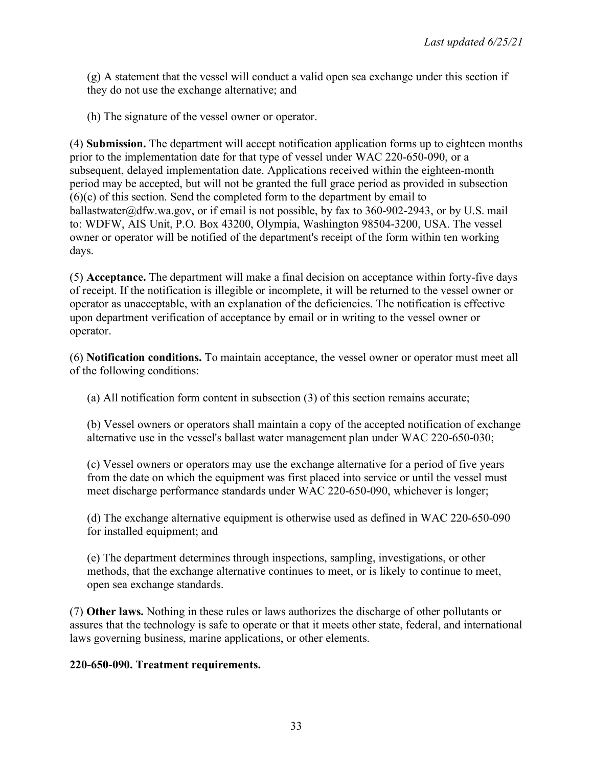(g) A statement that the vessel will conduct a valid open sea exchange under this section if they do not use the exchange alternative; and

(h) The signature of the vessel owner or operator.

(4) **Submission.** The department will accept notification application forms up to eighteen months prior to the implementation date for that type of vessel under WAC 220-650-090, or a subsequent, delayed implementation date. Applications received within the eighteen-month period may be accepted, but will not be granted the full grace period as provided in subsection (6)(c) of this section. Send the completed form to the department by email to ballastwater@dfw.wa.gov, or if email is not possible, by fax to 360-902-2943, or by U.S. mail to: WDFW, AIS Unit, P.O. Box 43200, Olympia, Washington 98504-3200, USA. The vessel owner or operator will be notified of the department's receipt of the form within ten working days.

(5) **Acceptance.** The department will make a final decision on acceptance within forty-five days of receipt. If the notification is illegible or incomplete, it will be returned to the vessel owner or operator as unacceptable, with an explanation of the deficiencies. The notification is effective upon department verification of acceptance by email or in writing to the vessel owner or operator.

(6) **Notification conditions.** To maintain acceptance, the vessel owner or operator must meet all of the following conditions:

(a) All notification form content in subsection (3) of this section remains accurate;

(b) Vessel owners or operators shall maintain a copy of the accepted notification of exchange alternative use in the vessel's ballast water management plan under WAC 220-650-030;

(c) Vessel owners or operators may use the exchange alternative for a period of five years from the date on which the equipment was first placed into service or until the vessel must meet discharge performance standards under WAC 220-650-090, whichever is longer;

(d) The exchange alternative equipment is otherwise used as defined in WAC 220-650-090 for installed equipment; and

(e) The department determines through inspections, sampling, investigations, or other methods, that the exchange alternative continues to meet, or is likely to continue to meet, open sea exchange standards.

(7) **Other laws.** Nothing in these rules or laws authorizes the discharge of other pollutants or assures that the technology is safe to operate or that it meets other state, federal, and international laws governing business, marine applications, or other elements.

# **220-650-090. Treatment requirements.**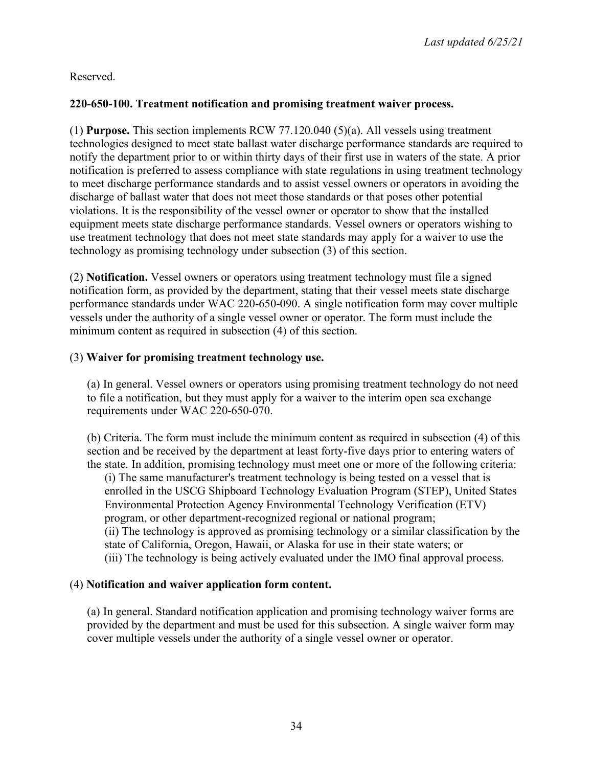Reserved.

# **220-650-100. Treatment notification and promising treatment waiver process.**

(1) **Purpose.** This section implements RCW 77.120.040 (5)(a). All vessels using treatment technologies designed to meet state ballast water discharge performance standards are required to notify the department prior to or within thirty days of their first use in waters of the state. A prior notification is preferred to assess compliance with state regulations in using treatment technology to meet discharge performance standards and to assist vessel owners or operators in avoiding the discharge of ballast water that does not meet those standards or that poses other potential violations. It is the responsibility of the vessel owner or operator to show that the installed equipment meets state discharge performance standards. Vessel owners or operators wishing to use treatment technology that does not meet state standards may apply for a waiver to use the technology as promising technology under subsection (3) of this section.

(2) **Notification.** Vessel owners or operators using treatment technology must file a signed notification form, as provided by the department, stating that their vessel meets state discharge performance standards under WAC 220-650-090. A single notification form may cover multiple vessels under the authority of a single vessel owner or operator. The form must include the minimum content as required in subsection (4) of this section.

# (3) **Waiver for promising treatment technology use.**

(a) In general. Vessel owners or operators using promising treatment technology do not need to file a notification, but they must apply for a waiver to the interim open sea exchange requirements under WAC 220-650-070.

(b) Criteria. The form must include the minimum content as required in subsection (4) of this section and be received by the department at least forty-five days prior to entering waters of the state. In addition, promising technology must meet one or more of the following criteria: (i) The same manufacturer's treatment technology is being tested on a vessel that is enrolled in the USCG Shipboard Technology Evaluation Program (STEP), United States Environmental Protection Agency Environmental Technology Verification (ETV) program, or other department-recognized regional or national program; (ii) The technology is approved as promising technology or a similar classification by the state of California, Oregon, Hawaii, or Alaska for use in their state waters; or (iii) The technology is being actively evaluated under the IMO final approval process.

# (4) **Notification and waiver application form content.**

(a) In general. Standard notification application and promising technology waiver forms are provided by the department and must be used for this subsection. A single waiver form may cover multiple vessels under the authority of a single vessel owner or operator.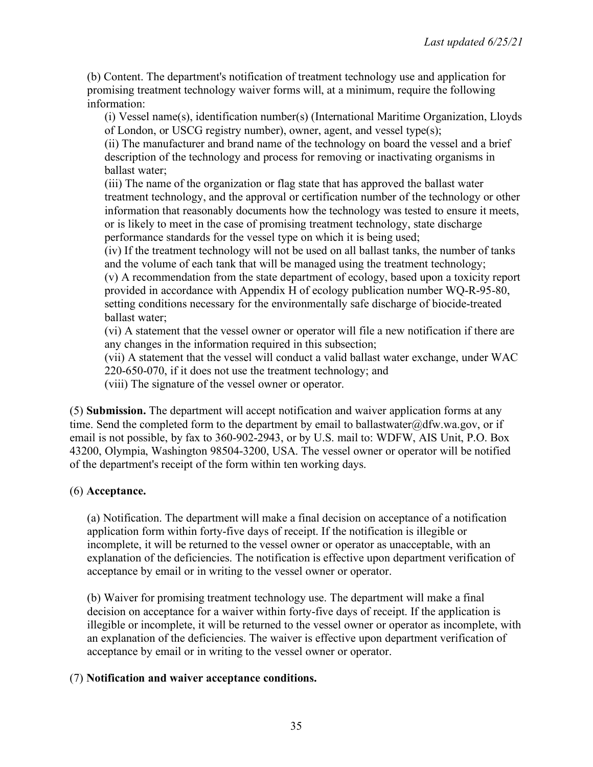(b) Content. The department's notification of treatment technology use and application for promising treatment technology waiver forms will, at a minimum, require the following information:

(i) Vessel name(s), identification number(s) (International Maritime Organization, Lloyds of London, or USCG registry number), owner, agent, and vessel type(s);

(ii) The manufacturer and brand name of the technology on board the vessel and a brief description of the technology and process for removing or inactivating organisms in ballast water;

(iii) The name of the organization or flag state that has approved the ballast water treatment technology, and the approval or certification number of the technology or other information that reasonably documents how the technology was tested to ensure it meets, or is likely to meet in the case of promising treatment technology, state discharge performance standards for the vessel type on which it is being used;

(iv) If the treatment technology will not be used on all ballast tanks, the number of tanks and the volume of each tank that will be managed using the treatment technology;

(v) A recommendation from the state department of ecology, based upon a toxicity report provided in accordance with Appendix H of ecology publication number WQ-R-95-80, setting conditions necessary for the environmentally safe discharge of biocide-treated ballast water;

(vi) A statement that the vessel owner or operator will file a new notification if there are any changes in the information required in this subsection;

(vii) A statement that the vessel will conduct a valid ballast water exchange, under WAC 220-650-070, if it does not use the treatment technology; and

(viii) The signature of the vessel owner or operator.

(5) **Submission.** The department will accept notification and waiver application forms at any time. Send the completed form to the department by email to ballastwater@dfw.wa.gov, or if email is not possible, by fax to 360-902-2943, or by U.S. mail to: WDFW, AIS Unit, P.O. Box 43200, Olympia, Washington 98504-3200, USA. The vessel owner or operator will be notified of the department's receipt of the form within ten working days.

# (6) **Acceptance.**

(a) Notification. The department will make a final decision on acceptance of a notification application form within forty-five days of receipt. If the notification is illegible or incomplete, it will be returned to the vessel owner or operator as unacceptable, with an explanation of the deficiencies. The notification is effective upon department verification of acceptance by email or in writing to the vessel owner or operator.

(b) Waiver for promising treatment technology use. The department will make a final decision on acceptance for a waiver within forty-five days of receipt. If the application is illegible or incomplete, it will be returned to the vessel owner or operator as incomplete, with an explanation of the deficiencies. The waiver is effective upon department verification of acceptance by email or in writing to the vessel owner or operator.

### (7) **Notification and waiver acceptance conditions.**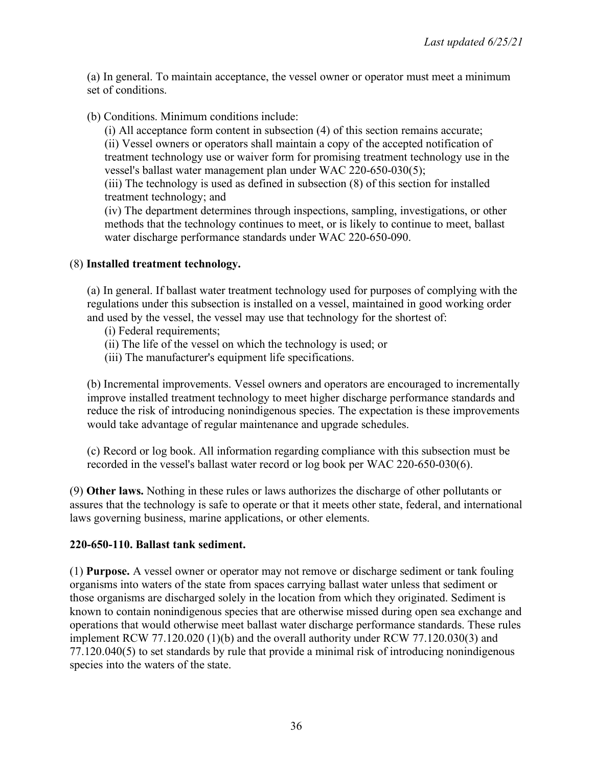(a) In general. To maintain acceptance, the vessel owner or operator must meet a minimum set of conditions.

(b) Conditions. Minimum conditions include:

(i) All acceptance form content in subsection (4) of this section remains accurate; (ii) Vessel owners or operators shall maintain a copy of the accepted notification of treatment technology use or waiver form for promising treatment technology use in the vessel's ballast water management plan under WAC 220-650-030(5);

(iii) The technology is used as defined in subsection (8) of this section for installed treatment technology; and

(iv) The department determines through inspections, sampling, investigations, or other methods that the technology continues to meet, or is likely to continue to meet, ballast water discharge performance standards under WAC 220-650-090.

## (8) **Installed treatment technology.**

(a) In general. If ballast water treatment technology used for purposes of complying with the regulations under this subsection is installed on a vessel, maintained in good working order and used by the vessel, the vessel may use that technology for the shortest of:

- (i) Federal requirements;
- (ii) The life of the vessel on which the technology is used; or
- (iii) The manufacturer's equipment life specifications.

(b) Incremental improvements. Vessel owners and operators are encouraged to incrementally improve installed treatment technology to meet higher discharge performance standards and reduce the risk of introducing nonindigenous species. The expectation is these improvements would take advantage of regular maintenance and upgrade schedules.

(c) Record or log book. All information regarding compliance with this subsection must be recorded in the vessel's ballast water record or log book per WAC 220-650-030(6).

(9) **Other laws.** Nothing in these rules or laws authorizes the discharge of other pollutants or assures that the technology is safe to operate or that it meets other state, federal, and international laws governing business, marine applications, or other elements.

### **220-650-110. Ballast tank sediment.**

(1) **Purpose.** A vessel owner or operator may not remove or discharge sediment or tank fouling organisms into waters of the state from spaces carrying ballast water unless that sediment or those organisms are discharged solely in the location from which they originated. Sediment is known to contain nonindigenous species that are otherwise missed during open sea exchange and operations that would otherwise meet ballast water discharge performance standards. These rules implement RCW 77.120.020 (1)(b) and the overall authority under RCW 77.120.030(3) and 77.120.040(5) to set standards by rule that provide a minimal risk of introducing nonindigenous species into the waters of the state.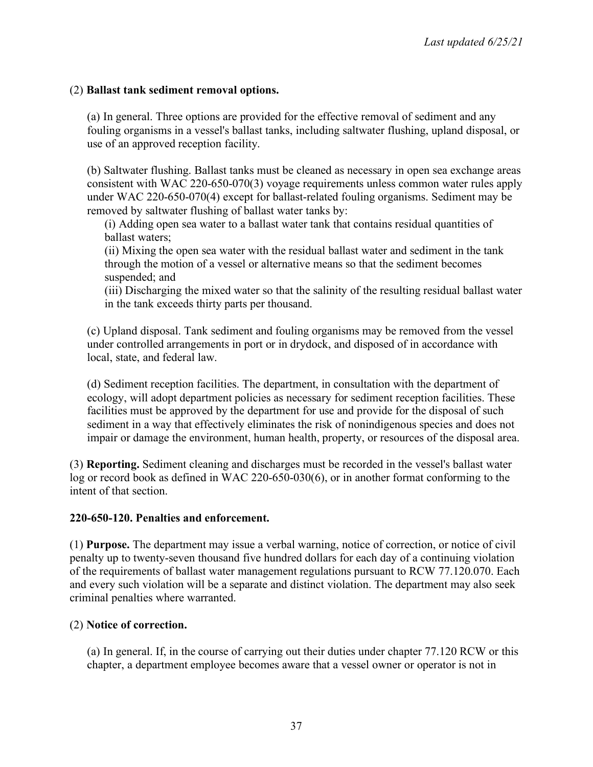## (2) **Ballast tank sediment removal options.**

(a) In general. Three options are provided for the effective removal of sediment and any fouling organisms in a vessel's ballast tanks, including saltwater flushing, upland disposal, or use of an approved reception facility.

(b) Saltwater flushing. Ballast tanks must be cleaned as necessary in open sea exchange areas consistent with WAC 220-650-070(3) voyage requirements unless common water rules apply under WAC 220-650-070(4) except for ballast-related fouling organisms. Sediment may be removed by saltwater flushing of ballast water tanks by:

(i) Adding open sea water to a ballast water tank that contains residual quantities of ballast waters;

(ii) Mixing the open sea water with the residual ballast water and sediment in the tank through the motion of a vessel or alternative means so that the sediment becomes suspended; and

(iii) Discharging the mixed water so that the salinity of the resulting residual ballast water in the tank exceeds thirty parts per thousand.

(c) Upland disposal. Tank sediment and fouling organisms may be removed from the vessel under controlled arrangements in port or in drydock, and disposed of in accordance with local, state, and federal law.

(d) Sediment reception facilities. The department, in consultation with the department of ecology, will adopt department policies as necessary for sediment reception facilities. These facilities must be approved by the department for use and provide for the disposal of such sediment in a way that effectively eliminates the risk of nonindigenous species and does not impair or damage the environment, human health, property, or resources of the disposal area.

(3) **Reporting.** Sediment cleaning and discharges must be recorded in the vessel's ballast water log or record book as defined in WAC 220-650-030(6), or in another format conforming to the intent of that section.

### **220-650-120. Penalties and enforcement.**

(1) **Purpose.** The department may issue a verbal warning, notice of correction, or notice of civil penalty up to twenty-seven thousand five hundred dollars for each day of a continuing violation of the requirements of ballast water management regulations pursuant to RCW 77.120.070. Each and every such violation will be a separate and distinct violation. The department may also seek criminal penalties where warranted.

# (2) **Notice of correction.**

(a) In general. If, in the course of carrying out their duties under chapter 77.120 RCW or this chapter, a department employee becomes aware that a vessel owner or operator is not in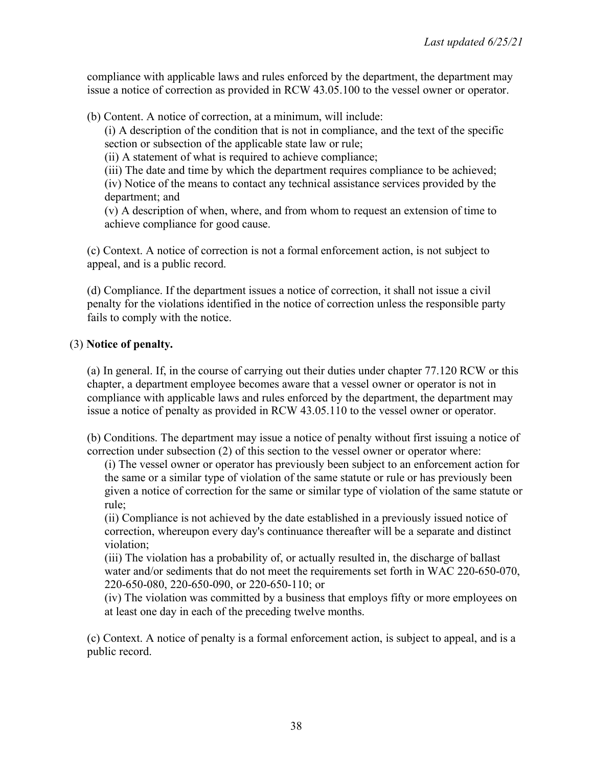compliance with applicable laws and rules enforced by the department, the department may issue a notice of correction as provided in RCW 43.05.100 to the vessel owner or operator.

(b) Content. A notice of correction, at a minimum, will include:

(i) A description of the condition that is not in compliance, and the text of the specific section or subsection of the applicable state law or rule;

(ii) A statement of what is required to achieve compliance;

(iii) The date and time by which the department requires compliance to be achieved;

(iv) Notice of the means to contact any technical assistance services provided by the department; and

(v) A description of when, where, and from whom to request an extension of time to achieve compliance for good cause.

(c) Context. A notice of correction is not a formal enforcement action, is not subject to appeal, and is a public record.

(d) Compliance. If the department issues a notice of correction, it shall not issue a civil penalty for the violations identified in the notice of correction unless the responsible party fails to comply with the notice.

## (3) **Notice of penalty.**

(a) In general. If, in the course of carrying out their duties under chapter 77.120 RCW or this chapter, a department employee becomes aware that a vessel owner or operator is not in compliance with applicable laws and rules enforced by the department, the department may issue a notice of penalty as provided in RCW 43.05.110 to the vessel owner or operator.

(b) Conditions. The department may issue a notice of penalty without first issuing a notice of correction under subsection (2) of this section to the vessel owner or operator where:

(i) The vessel owner or operator has previously been subject to an enforcement action for the same or a similar type of violation of the same statute or rule or has previously been given a notice of correction for the same or similar type of violation of the same statute or rule;

(ii) Compliance is not achieved by the date established in a previously issued notice of correction, whereupon every day's continuance thereafter will be a separate and distinct violation;

(iii) The violation has a probability of, or actually resulted in, the discharge of ballast water and/or sediments that do not meet the requirements set forth in WAC 220-650-070, 220-650-080, 220-650-090, or 220-650-110; or

(iv) The violation was committed by a business that employs fifty or more employees on at least one day in each of the preceding twelve months.

(c) Context. A notice of penalty is a formal enforcement action, is subject to appeal, and is a public record.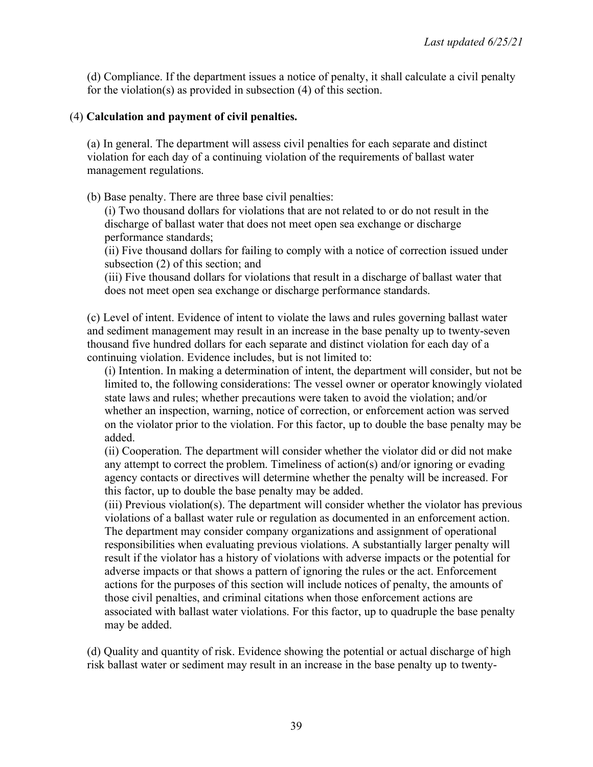(d) Compliance. If the department issues a notice of penalty, it shall calculate a civil penalty for the violation(s) as provided in subsection (4) of this section.

### (4) **Calculation and payment of civil penalties.**

(a) In general. The department will assess civil penalties for each separate and distinct violation for each day of a continuing violation of the requirements of ballast water management regulations.

(b) Base penalty. There are three base civil penalties:

(i) Two thousand dollars for violations that are not related to or do not result in the discharge of ballast water that does not meet open sea exchange or discharge performance standards;

(ii) Five thousand dollars for failing to comply with a notice of correction issued under subsection (2) of this section; and

(iii) Five thousand dollars for violations that result in a discharge of ballast water that does not meet open sea exchange or discharge performance standards.

(c) Level of intent. Evidence of intent to violate the laws and rules governing ballast water and sediment management may result in an increase in the base penalty up to twenty-seven thousand five hundred dollars for each separate and distinct violation for each day of a continuing violation. Evidence includes, but is not limited to:

(i) Intention. In making a determination of intent, the department will consider, but not be limited to, the following considerations: The vessel owner or operator knowingly violated state laws and rules; whether precautions were taken to avoid the violation; and/or whether an inspection, warning, notice of correction, or enforcement action was served on the violator prior to the violation. For this factor, up to double the base penalty may be added.

(ii) Cooperation. The department will consider whether the violator did or did not make any attempt to correct the problem. Timeliness of action(s) and/or ignoring or evading agency contacts or directives will determine whether the penalty will be increased. For this factor, up to double the base penalty may be added.

(iii) Previous violation(s). The department will consider whether the violator has previous violations of a ballast water rule or regulation as documented in an enforcement action. The department may consider company organizations and assignment of operational responsibilities when evaluating previous violations. A substantially larger penalty will result if the violator has a history of violations with adverse impacts or the potential for adverse impacts or that shows a pattern of ignoring the rules or the act. Enforcement actions for the purposes of this section will include notices of penalty, the amounts of those civil penalties, and criminal citations when those enforcement actions are associated with ballast water violations. For this factor, up to quadruple the base penalty may be added.

(d) Quality and quantity of risk. Evidence showing the potential or actual discharge of high risk ballast water or sediment may result in an increase in the base penalty up to twenty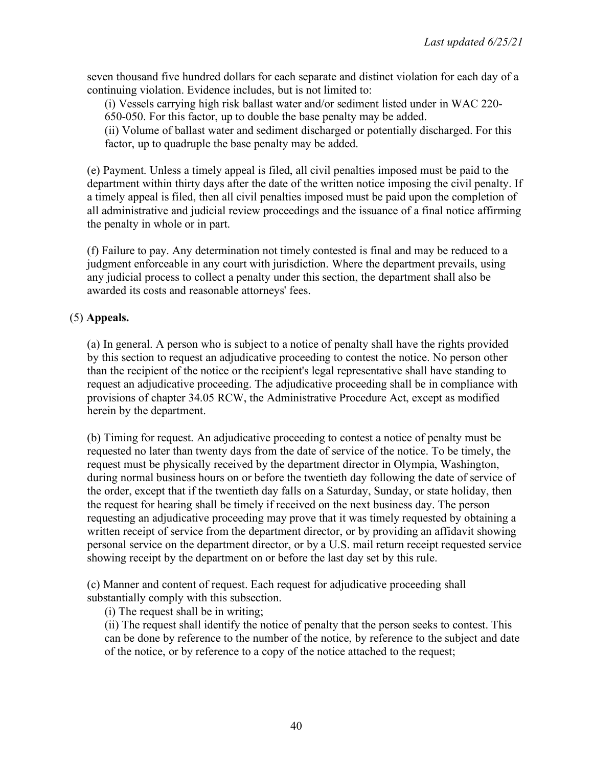seven thousand five hundred dollars for each separate and distinct violation for each day of a continuing violation. Evidence includes, but is not limited to:

(i) Vessels carrying high risk ballast water and/or sediment listed under in WAC 220- 650-050. For this factor, up to double the base penalty may be added.

(ii) Volume of ballast water and sediment discharged or potentially discharged. For this factor, up to quadruple the base penalty may be added.

(e) Payment. Unless a timely appeal is filed, all civil penalties imposed must be paid to the department within thirty days after the date of the written notice imposing the civil penalty. If a timely appeal is filed, then all civil penalties imposed must be paid upon the completion of all administrative and judicial review proceedings and the issuance of a final notice affirming the penalty in whole or in part.

(f) Failure to pay. Any determination not timely contested is final and may be reduced to a judgment enforceable in any court with jurisdiction. Where the department prevails, using any judicial process to collect a penalty under this section, the department shall also be awarded its costs and reasonable attorneys' fees.

### (5) **Appeals.**

(a) In general. A person who is subject to a notice of penalty shall have the rights provided by this section to request an adjudicative proceeding to contest the notice. No person other than the recipient of the notice or the recipient's legal representative shall have standing to request an adjudicative proceeding. The adjudicative proceeding shall be in compliance with provisions of chapter 34.05 RCW, the Administrative Procedure Act, except as modified herein by the department.

(b) Timing for request. An adjudicative proceeding to contest a notice of penalty must be requested no later than twenty days from the date of service of the notice. To be timely, the request must be physically received by the department director in Olympia, Washington, during normal business hours on or before the twentieth day following the date of service of the order, except that if the twentieth day falls on a Saturday, Sunday, or state holiday, then the request for hearing shall be timely if received on the next business day. The person requesting an adjudicative proceeding may prove that it was timely requested by obtaining a written receipt of service from the department director, or by providing an affidavit showing personal service on the department director, or by a U.S. mail return receipt requested service showing receipt by the department on or before the last day set by this rule.

(c) Manner and content of request. Each request for adjudicative proceeding shall substantially comply with this subsection.

(i) The request shall be in writing;

(ii) The request shall identify the notice of penalty that the person seeks to contest. This can be done by reference to the number of the notice, by reference to the subject and date of the notice, or by reference to a copy of the notice attached to the request;